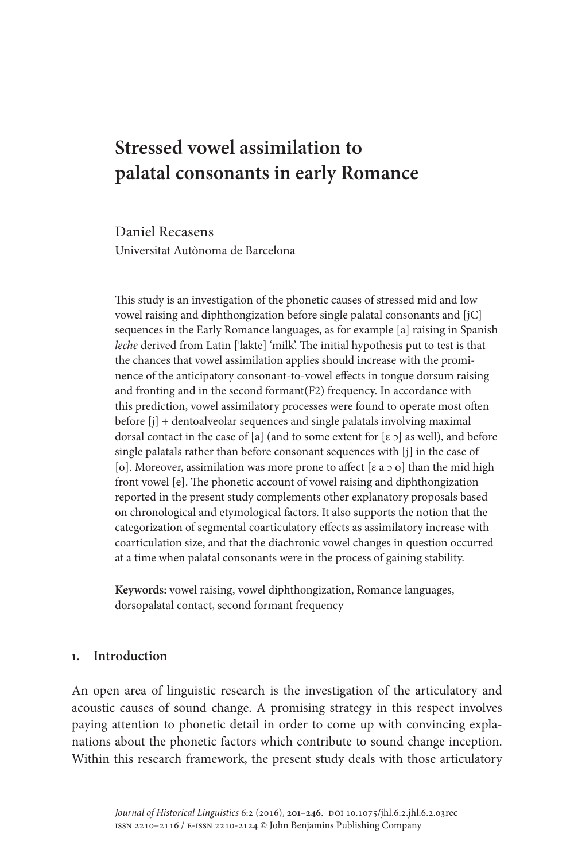# **Stressed vowel assimilation to palatal consonants in early Romance**

Daniel Recasens Universitat Autònoma de Barcelona

This study is an investigation of the phonetic causes of stressed mid and low vowel raising and diphthongization before single palatal consonants and [jC] sequences in the Early Romance languages, as for example [a] raising in Spanish *leche* derived from Latin [ˈlakte] 'milk'. The initial hypothesis put to test is that the chances that vowel assimilation applies should increase with the prominence of the anticipatory consonant-to-vowel effects in tongue dorsum raising and fronting and in the second formant(F2) frequency. In accordance with this prediction, vowel assimilatory processes were found to operate most often before [j] + dentoalveolar sequences and single palatals involving maximal dorsal contact in the case of [a] (and to some extent for  $[\varepsilon 5]$  as well), and before single palatals rather than before consonant sequences with [j] in the case of [o]. Moreover, assimilation was more prone to affect  $[\varepsilon a \circ o]$  than the mid high front vowel [e]. The phonetic account of vowel raising and diphthongization reported in the present study complements other explanatory proposals based on chronological and etymological factors. It also supports the notion that the categorization of segmental coarticulatory effects as assimilatory increase with coarticulation size, and that the diachronic vowel changes in question occurred at a time when palatal consonants were in the process of gaining stability.

**Keywords:** vowel raising, vowel diphthongization, Romance languages, dorsopalatal contact, second formant frequency

### <span id="page-0-0"></span>**1. Introduction**

An open area of linguistic research is the investigation of the articulatory and acoustic causes of sound change. A promising strategy in this respect involves paying attention to phonetic detail in order to come up with convincing explanations about the phonetic factors which contribute to sound change inception. Within this research framework, the present study deals with those articulatory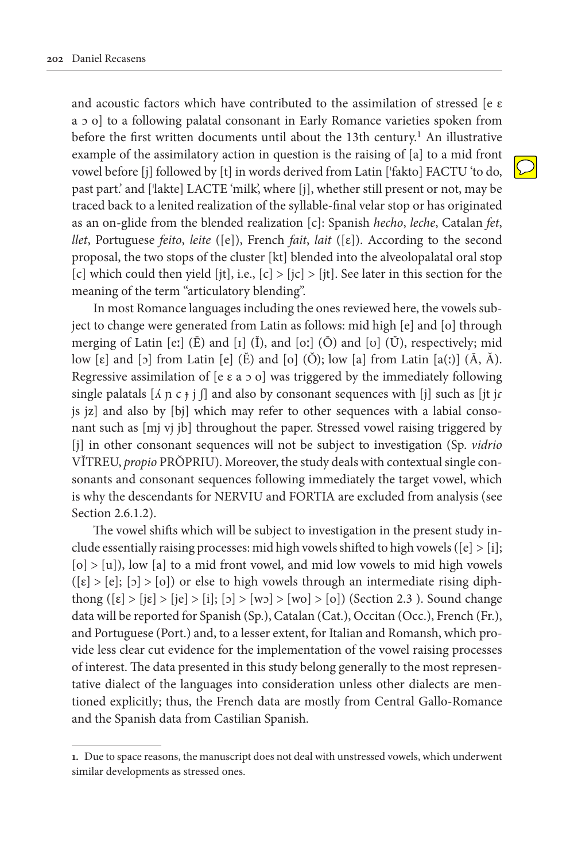and acoustic factors which have contributed to the assimilation of stressed [e  $\varepsilon$ a ɔ o] to a following palatal consonant in Early Romance varieties spoken from before the first written documents until about the 13th century.<sup>1</sup> An illustrative example of the assimilatory action in question is the raising of [a] to a mid front vowel before [j] followed by [t] in words derived from Latin [ˈfakto] FACTU 'to do, past part.' and [ˈlakte] LACTE 'milk', where [j], whether still present or not, may be traced back to a lenited realization of the syllable-final velar stop or has originated as an on-glide from the blended realization [c]: Spanish *hecho*, *leche*, Catalan *fet*, *llet*, Portuguese *feito*, *leite* ([e]), French *fait*, *lait* ([ɛ]). According to the second proposal, the two stops of the cluster [kt] blended into the alveolopalatal oral stop [c] which could then yield [jt], i.e., [c] > [jc] > [jt]. See later in this section for the meaning of the term "articulatory blending".

In most Romance languages including the ones reviewed here, the vowels subject to change were generated from Latin as follows: mid high [e] and [o] through merging of Latin [eː]  $(\bar{E})$  and  $[I]$   $(\tilde{I})$ , and  $[o]$   $(\tilde{O})$  and  $[v]$   $(\tilde{U})$ , respectively; mid low  $[\varepsilon]$  and  $[\circ]$  from Latin  $[\varepsilon]$  (E) and  $[\circ]$  (O); low  $[\circ]$  from Latin  $[\circ]$  (A, A). Regressive assimilation of [e  $\varepsilon$  a  $\sigma$  o] was triggered by the immediately following single palatals  $\lceil \lambda \ln c + j \rceil$  and also by consonant sequences with  $\lceil j \rceil$  such as  $\lceil j \rceil$  jr js jz] and also by [bj] which may refer to other sequences with a labial consonant such as [mj vj jb] throughout the paper. Stressed vowel raising triggered by [j] in other consonant sequences will not be subject to investigation (Sp. *vidrio* VĬTREU, *propio* PRŎPRIU). Moreover, the study deals with contextual single consonants and consonant sequences following immediately the target vowel, which is why the descendants for NERVIU and FORTIA are excluded from analysis (see [Section 2.6.1.2\)](#page-19-0).

The vowel shifts which will be subject to investigation in the present study include essentially raising processes: mid high vowels shifted to high vowels ( $[e] > [i]$ ;  $[0] > [u]$ ), low [a] to a mid front vowel, and mid low vowels to mid high vowels  $([ \epsilon ] > [e]; [5] > [o])$  or else to high vowels through an intermediate rising diph-thong ([ɛ] > [jɛ] > [je] > [i]; [ɔ] > [wɔ] > [wo] > [o]) [\(Section 2.3](#page-11-0) ). Sound change data will be reported for Spanish (Sp.), Catalan (Cat.), Occitan (Occ.), French (Fr.), and Portuguese (Port.) and, to a lesser extent, for Italian and Romansh, which provide less clear cut evidence for the implementation of the vowel raising processes of interest. The data presented in this study belong generally to the most representative dialect of the languages into consideration unless other dialects are mentioned explicitly; thus, the French data are mostly from Central Gallo-Romance and the Spanish data from Castilian Spanish.

<span id="page-1-0"></span>**<sup>1.</sup>** Due to space reasons, the manuscript does not deal with unstressed vowels, which underwent similar developments as stressed ones.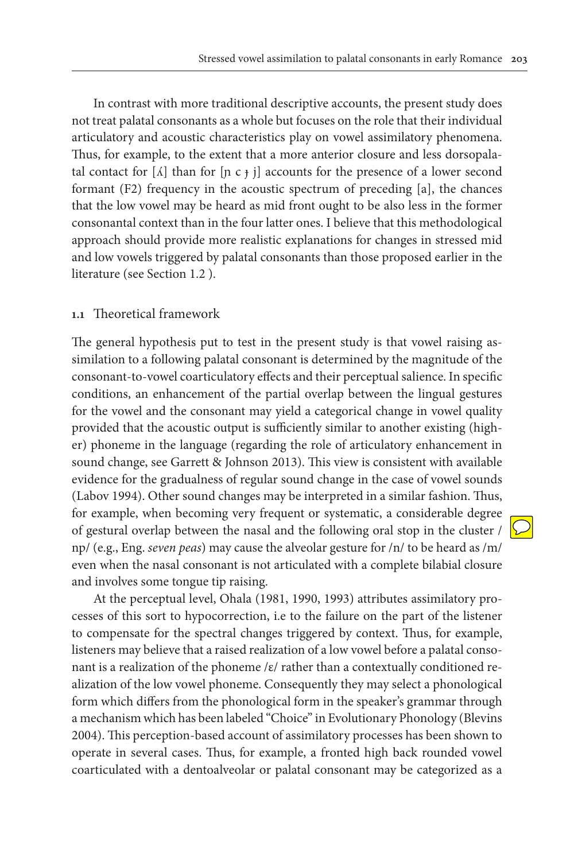In contrast with more traditional descriptive accounts, the present study does not treat palatal consonants as a whole but focuses on the role that their individual articulatory and acoustic characteristics play on vowel assimilatory phenomena. Thus, for example, to the extent that a more anterior closure and less dorsopalatal contact for  $\lceil \Lambda \rceil$  than for  $\lceil n \ c + j \rceil$  accounts for the presence of a lower second formant (F2) frequency in the acoustic spectrum of preceding [a], the chances that the low vowel may be heard as mid front ought to be also less in the former consonantal context than in the four latter ones. I believe that this methodological approach should provide more realistic explanations for changes in stressed mid and low vowels triggered by palatal consonants than those proposed earlier in the literature (see [Section 1.2](#page-3-0) ).

#### <span id="page-2-0"></span>**1.1** Theoretical framework

The general hypothesis put to test in the present study is that vowel raising assimilation to a following palatal consonant is determined by the magnitude of the consonant-to-vowel coarticulatory effects and their perceptual salience. In specific conditions, an enhancement of the partial overlap between the lingual gestures for the vowel and the consonant may yield a categorical change in vowel quality provided that the acoustic output is sufficiently similar to another existing (higher) phoneme in the language (regarding the role of articulatory enhancement in sound change, see [Garrett & Johnson 2013\)](#page-34-0). This view is consistent with available evidence for the gradualness of regular sound change in the case of vowel sounds [\(Labov 1994\)](#page-34-1). Other sound changes may be interpreted in a similar fashion. Thus, for example, when becoming very frequent or systematic, a considerable degree of gestural overlap between the nasal and the following oral stop in the cluster /  $\bigcirc$ np/ (e.g., Eng. *seven peas*) may cause the alveolar gesture for /n/ to be heard as /m/ even when the nasal consonant is not articulated with a complete bilabial closure and involves some tongue tip raising.

At the perceptual level, [Ohala \(1981](#page-35-0), [1990,](#page-35-1) [1993](#page-35-2)) attributes assimilatory processes of this sort to hypocorrection, i.e to the failure on the part of the listener to compensate for the spectral changes triggered by context. Thus, for example, listeners may believe that a raised realization of a low vowel before a palatal consonant is a realization of the phoneme  $\varepsilon$ / rather than a contextually conditioned realization of the low vowel phoneme. Consequently they may select a phonological form which differs from the phonological form in the speaker's grammar through a mechanism which has been labeled "Choice" in Evolutionary Phonology [\(Blevins](#page-33-0)  [2004\)](#page-33-0). This perception-based account of assimilatory processes has been shown to operate in several cases. Thus, for example, a fronted high back rounded vowel coarticulated with a dentoalveolar or palatal consonant may be categorized as a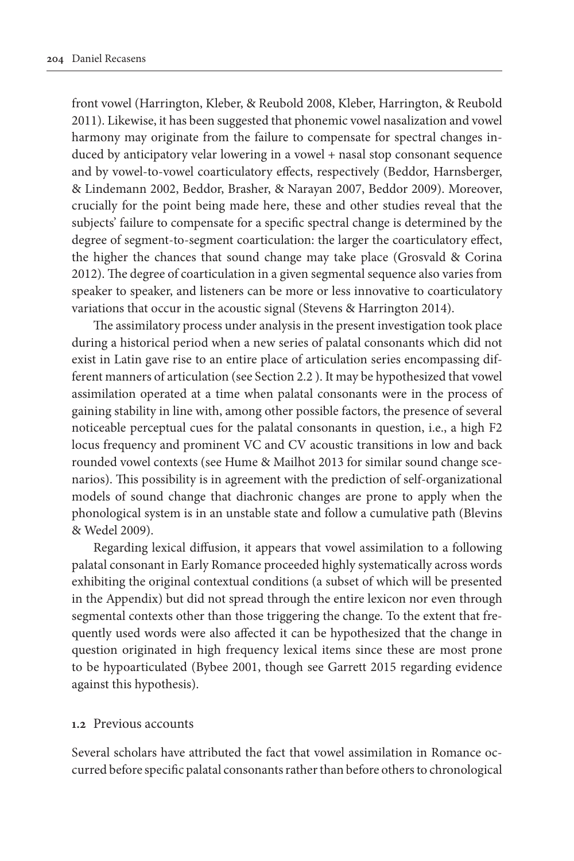front vowel [\(Harrington, Kleber, & Reubold 2008](#page-34-2), [Kleber, Harrington, & Reubold](#page-34-3)  [2011\)](#page-34-3). Likewise, it has been suggested that phonemic vowel nasalization and vowel harmony may originate from the failure to compensate for spectral changes induced by anticipatory velar lowering in a vowel + nasal stop consonant sequence and by vowel-to-vowel coarticulatory effects, respectively [\(Beddor, Harnsberger,](#page-33-1)  [& Lindemann 2002,](#page-33-1) [Beddor, Brasher, & Narayan 2007,](#page-33-2) [Beddor 2009](#page-33-3)). Moreover, crucially for the point being made here, these and other studies reveal that the subjects' failure to compensate for a specific spectral change is determined by the degree of segment-to-segment coarticulation: the larger the coarticulatory effect, the higher the chances that sound change may take place [\(Grosvald & Corina](#page-34-4)  [2012\)](#page-34-4). The degree of coarticulation in a given segmental sequence also varies from speaker to speaker, and listeners can be more or less innovative to coarticulatory variations that occur in the acoustic signal [\(Stevens & Harrington 2014](#page-36-0)).

The assimilatory process under analysis in the present investigation took place during a historical period when a new series of palatal consonants which did not exist in Latin gave rise to an entire place of articulation series encompassing different manners of articulation (see [Section 2.2](#page-8-0) ). It may be hypothesized that vowel assimilation operated at a time when palatal consonants were in the process of gaining stability in line with, among other possible factors, the presence of several noticeable perceptual cues for the palatal consonants in question, i.e., a high F2 locus frequency and prominent VC and CV acoustic transitions in low and back rounded vowel contexts (see [Hume & Mailhot 2013](#page-34-5) for similar sound change scenarios). This possibility is in agreement with the prediction of self-organizational models of sound change that diachronic changes are prone to apply when the phonological system is in an unstable state and follow a cumulative path [\(Blevins](#page-33-4)  [& Wedel 2009\)](#page-33-4).

Regarding lexical diffusion, it appears that vowel assimilation to a following palatal consonant in Early Romance proceeded highly systematically across words exhibiting the original contextual conditions (a subset of which will be presented in the Appendix) but did not spread through the entire lexicon nor even through segmental contexts other than those triggering the change. To the extent that frequently used words were also affected it can be hypothesized that the change in question originated in high frequency lexical items since these are most prone to be hypoarticulated ([Bybee 2001,](#page-33-5) though see [Garrett 2015](#page-34-6) regarding evidence against this hypothesis).

#### <span id="page-3-0"></span>**1.2** Previous accounts

Several scholars have attributed the fact that vowel assimilation in Romance occurred before specific palatal consonants rather than before others to chronological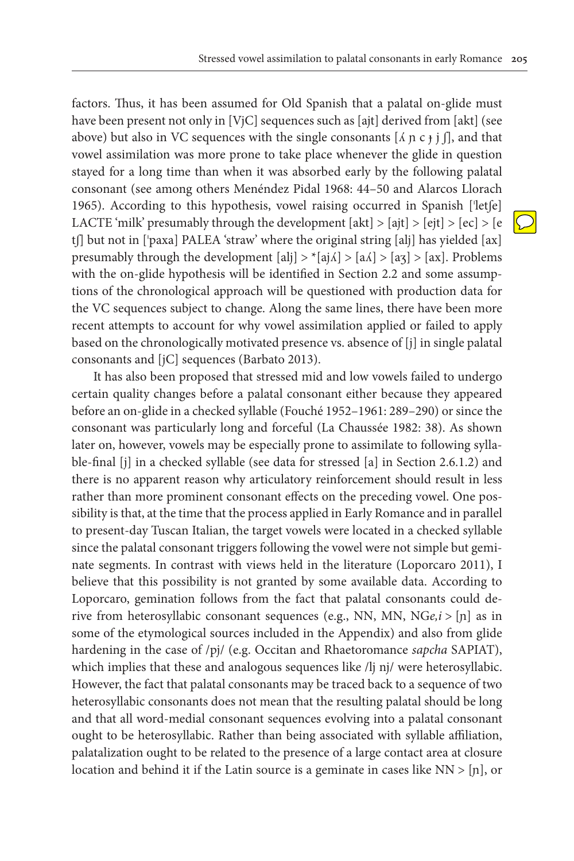factors. Thus, it has been assumed for Old Spanish that a palatal on-glide must have been present not only in [VjC] sequences such as [ajt] derived from [akt] (see above) but also in VC sequences with the single consonants  $\lceil \lambda \ln c \rceil$  i  $\lceil \lambda \ln c \rceil$  and that vowel assimilation was more prone to take place whenever the glide in question stayed for a long time than when it was absorbed early by the following palatal consonant (see among others [Menéndez Pidal 1968](#page-35-3): 44–50 and [Alarcos Llorach](#page-33-6)  [1965\)](#page-33-6). According to this hypothesis, vowel raising occurred in Spanish [ˈletʃe] LACTE 'milk' presumably through the development  $[akt] > [ait] > [ejt] > [ec] > [e$ tʃ] but not in [ˈpaxa] PALEA 'straw' where the original string [alj] has yielded [ax] presumably through the development  $[alj] > *[aj \land ] > [a \land ] > [ax]$ . Problems with the on-glide hypothesis will be identified in [Section 2.2](#page-8-0) and some assumptions of the chronological approach will be questioned with production data for the VC sequences subject to change. Along the same lines, there have been more recent attempts to account for why vowel assimilation applied or failed to apply based on the chronologically motivated presence vs. absence of [j] in single palatal consonants and [jC] sequences [\(Barbato 2013\)](#page-33-7).

It has also been proposed that stressed mid and low vowels failed to undergo certain quality changes before a palatal consonant either because they appeared before an on-glide in a checked syllable ([Fouché 1952–1961](#page-33-8): 289–290) or since the consonant was particularly long and forceful ([La Chaussée 1982](#page-34-7): 38). As shown later on, however, vowels may be especially prone to assimilate to following syllable-final [j] in a checked syllable (see data for stressed [a] in [Section 2.6.1.2\)](#page-19-0) and there is no apparent reason why articulatory reinforcement should result in less rather than more prominent consonant effects on the preceding vowel. One possibility is that, at the time that the process applied in Early Romance and in parallel to present-day Tuscan Italian, the target vowels were located in a checked syllable since the palatal consonant triggers following the vowel were not simple but geminate segments. In contrast with views held in the literature ([Loporcaro 2011\)](#page-34-8), I believe that this possibility is not granted by some available data. According to Loporcaro, gemination follows from the fact that palatal consonants could derive from heterosyllabic consonant sequences (e.g., NN, MN, NG*e,i* > [ɲ] as in some of the etymological sources included in the Appendix) and also from glide hardening in the case of /pj/ (e.g. Occitan and Rhaetoromance *sapcha* SAPIAT), which implies that these and analogous sequences like /lj nj/ were heterosyllabic. However, the fact that palatal consonants may be traced back to a sequence of two heterosyllabic consonants does not mean that the resulting palatal should be long and that all word-medial consonant sequences evolving into a palatal consonant ought to be heterosyllabic. Rather than being associated with syllable affiliation, palatalization ought to be related to the presence of a large contact area at closure location and behind it if the Latin source is a geminate in cases like  $NN > [n]$ , or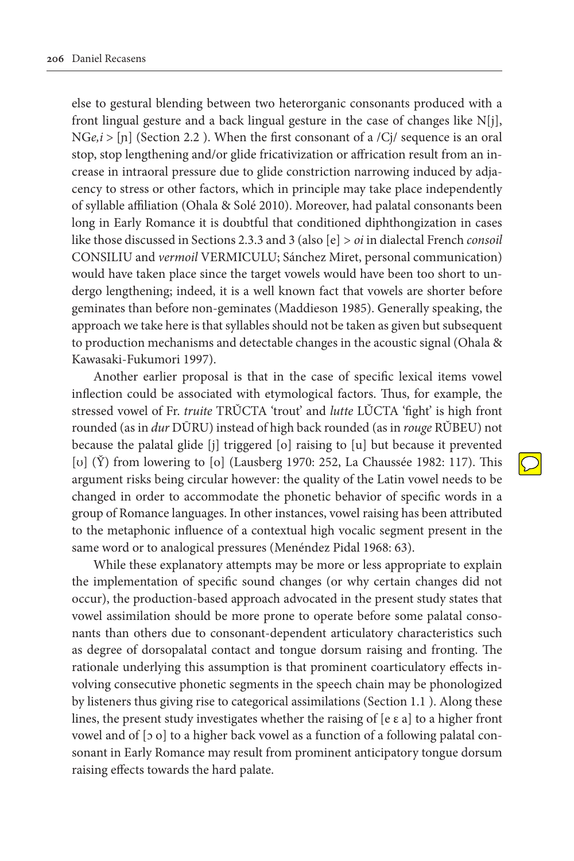else to gestural blending between two heterorganic consonants produced with a front lingual gesture and a back lingual gesture in the case of changes like N[j], NG*e,i* > [ɲ] [\(Section 2.2](#page-8-0) ). When the first consonant of a /Cj/ sequence is an oral stop, stop lengthening and/or glide fricativization or affrication result from an increase in intraoral pressure due to glide constriction narrowing induced by adjacency to stress or other factors, which in principle may take place independently of syllable affiliation ([Ohala & Solé 2010\)](#page-35-4). Moreover, had palatal consonants been long in Early Romance it is doubtful that conditioned diphthongization in cases like those discussed in [Sections 2.3.3](#page-13-0) and 3 (also [e] > *oi* in dialectal French *consoil* CONSILIU and *vermoil* VERMICULU; Sánchez Miret, personal communication) would have taken place since the target vowels would have been too short to undergo lengthening; indeed, it is a well known fact that vowels are shorter before geminates than before non-geminates [\(Maddieson 1985\)](#page-35-5). Generally speaking, the approach we take here is that syllables should not be taken as given but subsequent to production mechanisms and detectable changes in the acoustic signal ([Ohala &](#page-35-6)  [Kawasaki-Fukumori 1997\)](#page-35-6).

Another earlier proposal is that in the case of specific lexical items vowel inflection could be associated with etymological factors. Thus, for example, the stressed vowel of Fr. *truite* TRŬCTA 'trout' and *lutte* LŬCTA 'fight' is high front rounded (as in *dur* DŪRU) instead of high back rounded (as in *rouge* RŬBEU) not because the palatal glide [j] triggered [o] raising to [u] but because it prevented [v]  $(\check{Y})$  from lowering to [o] ([Lausberg 1970](#page-34-9): 252, [La Chaussée 1982](#page-34-7): 117). This argument risks being circular however: the quality of the Latin vowel needs to be changed in order to accommodate the phonetic behavior of specific words in a group of Romance languages. In other instances, vowel raising has been attributed to the metaphonic influence of a contextual high vocalic segment present in the same word or to analogical pressures ([Menéndez Pidal 1968](#page-35-3): 63).

While these explanatory attempts may be more or less appropriate to explain the implementation of specific sound changes (or why certain changes did not occur), the production-based approach advocated in the present study states that vowel assimilation should be more prone to operate before some palatal consonants than others due to consonant-dependent articulatory characteristics such as degree of dorsopalatal contact and tongue dorsum raising and fronting. The rationale underlying this assumption is that prominent coarticulatory effects involving consecutive phonetic segments in the speech chain may be phonologized by listeners thus giving rise to categorical assimilations ([Section 1.1](#page-2-0) ). Along these lines, the present study investigates whether the raising of [e ɛ a] to a higher front vowel and of [ɔ o] to a higher back vowel as a function of a following palatal consonant in Early Romance may result from prominent anticipatory tongue dorsum raising effects towards the hard palate.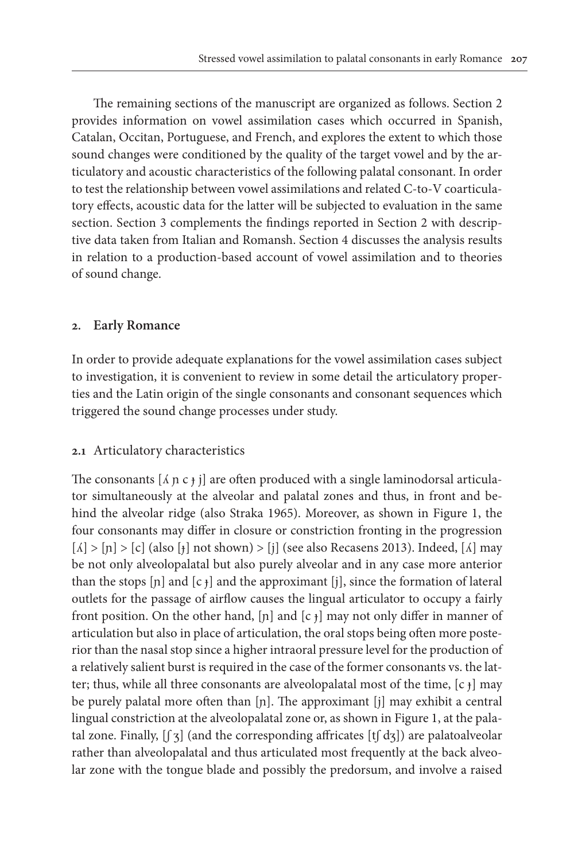The remaining sections of the manuscript are organized as follows. [Section 2](#page-6-0)  provides information on vowel assimilation cases which occurred in Spanish, Catalan, Occitan, Portuguese, and French, and explores the extent to which those sound changes were conditioned by the quality of the target vowel and by the articulatory and acoustic characteristics of the following palatal consonant. In order to test the relationship between vowel assimilations and related C-to-V coarticulatory effects, acoustic data for the latter will be subjected to evaluation in the same section. [Section 3](#page-26-0) complements the findings reported in [Section 2](#page-6-0) with descriptive data taken from Italian and Romansh. [Section 4](#page-27-0) discusses the analysis results in relation to a production-based account of vowel assimilation and to theories of sound change.

#### <span id="page-6-0"></span>**2. Early Romance**

In order to provide adequate explanations for the vowel assimilation cases subject to investigation, it is convenient to review in some detail the articulatory properties and the Latin origin of the single consonants and consonant sequences which triggered the sound change processes under study.

### <span id="page-6-1"></span>**2.1** Articulatory characteristics

The consonants  $[\Lambda \, p \, c \, j]$  are often produced with a single laminodorsal articulator simultaneously at the alveolar and palatal zones and thus, in front and behind the alveolar ridge (also [Straka 1965\)](#page-36-1). Moreover, as shown in [Figure 1,](#page-7-0) the four consonants may differ in closure or constriction fronting in the progression  $[\Lambda] > [\text{n}] > [c]$  (also  $[\text{j}]$  not shown) >  $[\text{j}]$  (see also [Recasens 2013\)](#page-35-7). Indeed,  $[\Lambda]$  may be not only alveolopalatal but also purely alveolar and in any case more anterior than the stops  $[n]$  and  $[c]$  and the approximant  $[i]$ , since the formation of lateral outlets for the passage of airflow causes the lingual articulator to occupy a fairly front position. On the other hand,  $[n]$  and  $[c]$  may not only differ in manner of articulation but also in place of articulation, the oral stops being often more posterior than the nasal stop since a higher intraoral pressure level for the production of a relatively salient burst is required in the case of the former consonants vs. the latter; thus, while all three consonants are alveolopalatal most of the time,  $[c+]$  may be purely palatal more often than [ɲ]. The approximant [j] may exhibit a central lingual constriction at the alveolopalatal zone or, as shown in [Figure 1,](#page-7-0) at the palatal zone. Finally,  $[f \tau]$  (and the corresponding affricates [t] d $\tau$ ]) are palatoalveolar rather than alveolopalatal and thus articulated most frequently at the back alveolar zone with the tongue blade and possibly the predorsum, and involve a raised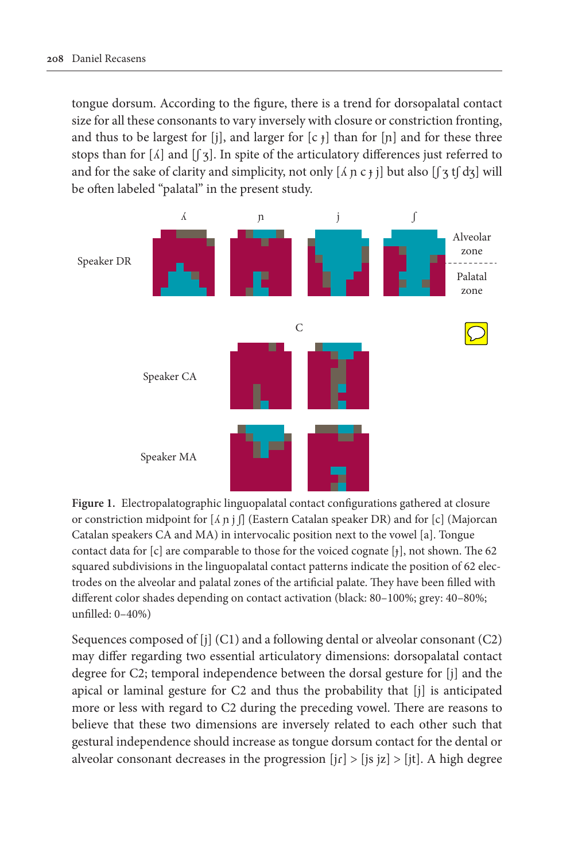tongue dorsum. According to the figure, there is a trend for dorsopalatal contact size for all these consonants to vary inversely with closure or constriction fronting, and thus to be largest for [j], and larger for  $[c]$  than for  $[n]$  and for these three stops than for  $\lceil \Lambda \rceil$  and  $\lceil \lceil \tau \rceil$ . In spite of the articulatory differences just referred to and for the sake of clarity and simplicity, not only  $\lceil \Lambda \ln c + j \rceil$  but also  $\lceil \lceil \Lambda \ln c \rceil$  will be often labeled "palatal" in the present study.



<span id="page-7-0"></span>**Figure 1.** Electropalatographic linguopalatal contact configurations gathered at closure or constriction midpoint for  $\lceil \Lambda \ln \rceil$  (Eastern Catalan speaker DR) and for  $\lceil c \rceil$  (Majorcan Catalan speakers CA and MA) in intervocalic position next to the vowel [a]. Tongue contact data for [c] are comparable to those for the voiced cognate [ɟ], not shown. The 62 squared subdivisions in the linguopalatal contact patterns indicate the position of 62 electrodes on the alveolar and palatal zones of the artificial palate. They have been filled with different color shades depending on contact activation (black: 80–100%; grey: 40–80%; unfilled: 0–40%)

Sequences composed of [j] (C1) and a following dental or alveolar consonant (C2) may differ regarding two essential articulatory dimensions: dorsopalatal contact degree for C2; temporal independence between the dorsal gesture for [j] and the apical or laminal gesture for C2 and thus the probability that [j] is anticipated more or less with regard to C2 during the preceding vowel. There are reasons to believe that these two dimensions are inversely related to each other such that gestural independence should increase as tongue dorsum contact for the dental or alveolar consonant decreases in the progression  $[i] > [i\pi] > [i\pi]$ . A high degree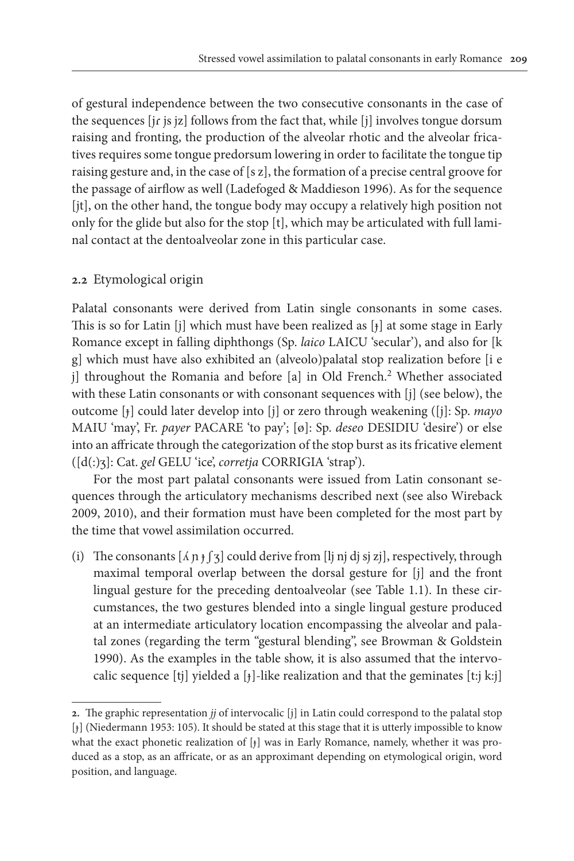of gestural independence between the two consecutive consonants in the case of the sequences [jɾ js jz] follows from the fact that, while [j] involves tongue dorsum raising and fronting, the production of the alveolar rhotic and the alveolar fricatives requires some tongue predorsum lowering in order to facilitate the tongue tip raising gesture and, in the case of [s z], the formation of a precise central groove for the passage of airflow as well ([Ladefoged & Maddieson 1996](#page-34-10)). As for the sequence [jt], on the other hand, the tongue body may occupy a relatively high position not only for the glide but also for the stop [t], which may be articulated with full laminal contact at the dentoalveolar zone in this particular case.

#### <span id="page-8-0"></span>**2.2** Etymological origin

Palatal consonants were derived from Latin single consonants in some cases. This is so for Latin [j] which must have been realized as [ɟ] at some stage in Early Romance except in falling diphthongs (Sp. *laico* LAICU 'secular'), and also for [k g] which must have also exhibited an (alveolo)palatal stop realization before [i e j] throughout the Romania and before [a] in Old French.<sup>[2](#page-8-1)</sup> Whether associated with these Latin consonants or with consonant sequences with [j] (see below), the outcome [ɟ] could later develop into [j] or zero through weakening ([j]: Sp. *mayo* MAIU 'may', Fr. *payer* PACARE 'to pay'; [ø]: Sp. *deseo* DESIDIU 'desire') or else into an affricate through the categorization of the stop burst as its fricative element ([d(:)ʒ]: Cat. *gel* GELU 'ice', *corretja* CORRIGIA 'strap').

For the most part palatal consonants were issued from Latin consonant sequences through the articulatory mechanisms described next (see also [Wireback](#page-36-2)  [2009,](#page-36-2) [2010](#page-36-3)), and their formation must have been completed for the most part by the time that vowel assimilation occurred.

(i) The consonants  $[\lambda \, \text{p} \, \text{f} \, \text{g}]$  could derive from [lj nj dj sj zj], respectively, through maximal temporal overlap between the dorsal gesture for [j] and the front lingual gesture for the preceding dentoalveolar (see [Table 1.1](#page-10-0)). In these circumstances, the two gestures blended into a single lingual gesture produced at an intermediate articulatory location encompassing the alveolar and palatal zones (regarding the term "gestural blending", see [Browman & Goldstein](#page-33-9)  [1990\)](#page-33-9). As the examples in the table show, it is also assumed that the intervocalic sequence [tj] yielded a  $[j]$ -like realization and that the geminates [t:j k:j]

<span id="page-8-1"></span>**<sup>2.</sup>** The graphic representation *jj* of intervocalic [j] in Latin could correspond to the palatal stop [ $<sub>i</sub>$ ] ([Niedermann 1953:](#page-35-8) 105). It should be stated at this stage that it is utterly impossible to know</sub> what the exact phonetic realization of [j] was in Early Romance, namely, whether it was produced as a stop, as an affricate, or as an approximant depending on etymological origin, word position, and language.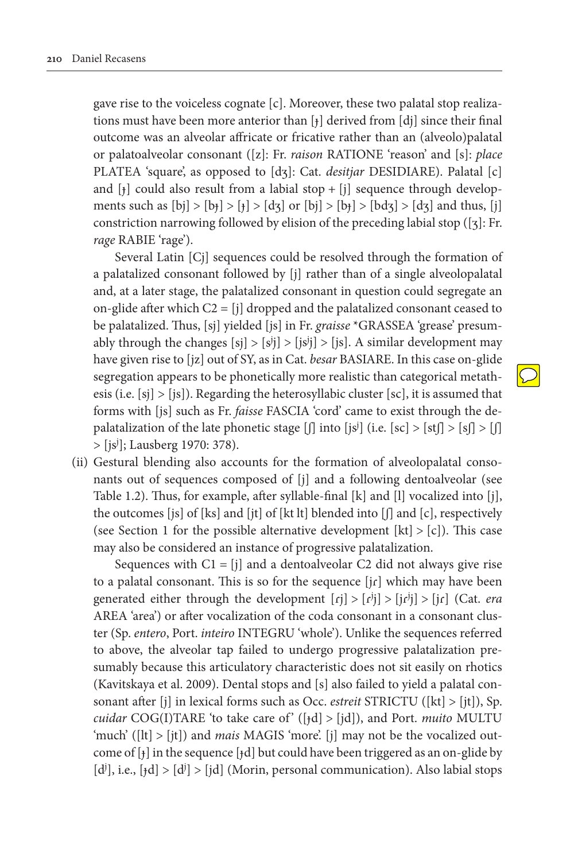gave rise to the voiceless cognate [c]. Moreover, these two palatal stop realizations must have been more anterior than [ɟ] derived from [dj] since their final outcome was an alveolar affricate or fricative rather than an (alveolo)palatal or palatoalveolar consonant ([z]: Fr. *raison* RATIONE 'reason' and [s]: *place* PLATEA 'square', as opposed to [dʒ]: Cat. *desitjar* DESIDIARE). Palatal [c] and  $\lceil \frac{1}{2} \rceil$  could also result from a labial stop +  $\lceil \frac{1}{2} \rceil$  sequence through developments such as  $[b] > [b] > [t] > [d\zeta]$  or  $[b] > [b\eta] > [b\zeta] > [d\zeta]$  and thus,  $[i]$ constriction narrowing followed by elision of the preceding labial stop ([ʒ]: Fr. *rage* RABIE 'rage').

 Several Latin [Cj] sequences could be resolved through the formation of a palatalized consonant followed by [j] rather than of a single alveolopalatal and, at a later stage, the palatalized consonant in question could segregate an on-glide after which  $C2 = [j]$  dropped and the palatalized consonant ceased to be palatalized. Thus, [sj] yielded [js] in Fr. *graisse* \*GRASSEA 'grease' presumably through the changes  $[sj] > [s^j j] > [js^j]$ . A similar development may have given rise to [jz] out of SY, as in Cat. *besar* BASIARE. In this case on-glide segregation appears to be phonetically more realistic than categorical metathesis (i.e. [sj] > [js]). Regarding the heterosyllabic cluster [sc], it is assumed that forms with [js] such as Fr. *faisse* FASCIA 'cord' came to exist through the depalatalization of the late phonetic stage [ʃ] into [jsʲ] (i.e. [sc] > [stʃ] > [sʃ] > [ʃ] > [jsj ]; [Lausberg 1970](#page-34-9): 378).

(ii) Gestural blending also accounts for the formation of alveolopalatal consonants out of sequences composed of [j] and a following dentoalveolar (see [Table 1.2](#page-10-0)). Thus, for example, after syllable-final [k] and [l] vocalized into [j], the outcomes [js] of [ks] and [jt] of [kt lt] blended into [ʃ] and [c], respectively (see [Section 1](#page-0-0) for the possible alternative development  $[kt] > [c]$ ). This case may also be considered an instance of progressive palatalization.

Sequences with  $Cl = [j]$  and a dentoalveolar C2 did not always give rise to a palatal consonant. This is so for the sequence [jɾ] which may have been generated either through the development [ɾj] > [ɾ<sup>j</sup> j] > [jɾ<sup>j</sup> j] > [jɾ] (Cat. *era* AREA 'area') or after vocalization of the coda consonant in a consonant cluster (Sp. *entero*, Port. *inteiro* INTEGRU 'whole'). Unlike the sequences referred to above, the alveolar tap failed to undergo progressive palatalization presumably because this articulatory characteristic does not sit easily on rhotics [\(Kavitskaya et al. 2009](#page-34-11)). Dental stops and [s] also failed to yield a palatal consonant after [j] in lexical forms such as Occ. *estreit* STRICTU ([kt] > [jt]), Sp. *cuidar* COG(I)TARE 'to take care of ' ([ɟd] > [jd]), and Port. *muito* MULTU 'much' ([lt] > [jt]) and *mais* MAGIS 'more'. [j] may not be the vocalized outcome of  $[j]$  in the sequence  $[jd]$  but could have been triggered as an on-glide by [d<sup>j</sup>], i.e., [<sub>j</sub>d] > [d<sup>j</sup>] > [jd] (Morin, personal communication). Also labial stops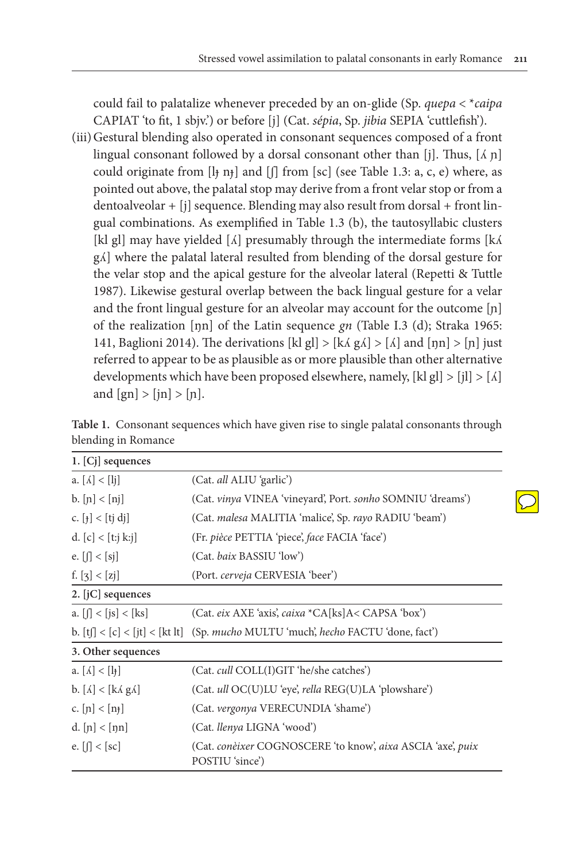could fail to palatalize whenever preceded by an on-glide (Sp. *quepa* < \**caipa* CAPIAT 'to fit, 1 sbjv.') or before [j] (Cat. *sépia*, Sp. *jibia* SEPIA 'cuttlefish').

(iii)Gestural blending also operated in consonant sequences composed of a front lingual consonant followed by a dorsal consonant other than [j]. Thus,  $[\lambda \n\rangle$  [1] could originate from  $[I<sub>1</sub> n<sub>1</sub>]$  and  $[[]$  from [sc] (see [Table 1.3](#page-10-0): a, c, e) where, as pointed out above, the palatal stop may derive from a front velar stop or from a dentoalveolar + [j] sequence. Blending may also result from dorsal + front lingual combinations. As exemplified in [Table 1.3](#page-10-0) (b), the tautosyllabic clusters [kl gl] may have yielded [ $\Lambda$ ] presumably through the intermediate forms [k $\Lambda$ ] gʎ] where the palatal lateral resulted from blending of the dorsal gesture for the velar stop and the apical gesture for the alveolar lateral ([Repetti & Tuttle](#page-35-9)  [1987\)](#page-35-9). Likewise gestural overlap between the back lingual gesture for a velar and the front lingual gesture for an alveolar may account for the outcome [ɲ] of the realization [ŋn] of the Latin sequence *gn* [\(Table I.3](#page-10-0) (d); [Straka 1965](#page-36-1): 141, [Baglioni 2014](#page-33-10)). The derivations  $[kl g l] > [k \land g \land ] > [\land]$  and  $[\eta n] > [\eta]$  just referred to appear to be as plausible as or more plausible than other alternative developments which have been proposed elsewhere, namely,  $[k| g] > [i] > [\Lambda]$ and  $[gn] > [in] > [n]$ .

| 1. [Cj] sequences                  |                                                                                 |
|------------------------------------|---------------------------------------------------------------------------------|
| a. $[\Lambda] < [1]$               | (Cat. <i>all</i> ALIU 'garlic')                                                 |
| b. $[n] < [nj]$                    | (Cat. <i>vinya</i> VINEA 'vineyard', Port. <i>sonho</i> SOMNIU 'dreams')        |
| c. $[\frac{1}{2}] < [\frac{1}{2}]$ | (Cat. malesa MALITIA 'malice', Sp. rayo RADIU 'beam')                           |
| d. $[c] < [t:j k:j]$               | (Fr. pièce PETTIA 'piece', face FACIA 'face')                                   |
|                                    | (Cat. baix BASSIU 'low')                                                        |
| f. $[3] < [zj]$                    | (Port. cerveja CERVESIA 'beer')                                                 |
| 2. [jC] sequences                  |                                                                                 |
| a. $[f] < [js] < [ks]$             | (Cat. eix AXE 'axis', caixa *CA[ks]A< CAPSA 'box')                              |
|                                    | b. $[t] < [c] < [it] < [kt]$ (Sp. mucho MULTU 'much', hecho FACTU 'done, fact') |
| 3. Other sequences                 |                                                                                 |
| a. $[\Lambda] < [\lambda]$         | (Cat. cull COLL(I)GIT 'he/she catches')                                         |
| b. $[\Lambda] < [\text{kA gA}]$    | (Cat. ull OC(U)LU 'eye', rella REG(U)LA 'plowshare')                            |
| c. $[n] < [n]$                     | (Cat. vergonya VERECUNDIA 'shame')                                              |
| d. $[n] < [nn]$                    | (Cat. <i>llenya</i> LIGNA 'wood')                                               |
|                                    | (Cat. conèixer COGNOSCERE 'to know', aixa ASCIA 'axe', puix<br>POSTIU 'since')  |

<span id="page-10-0"></span>**Table 1.** Consonant sequences which have given rise to single palatal consonants through blending in Romance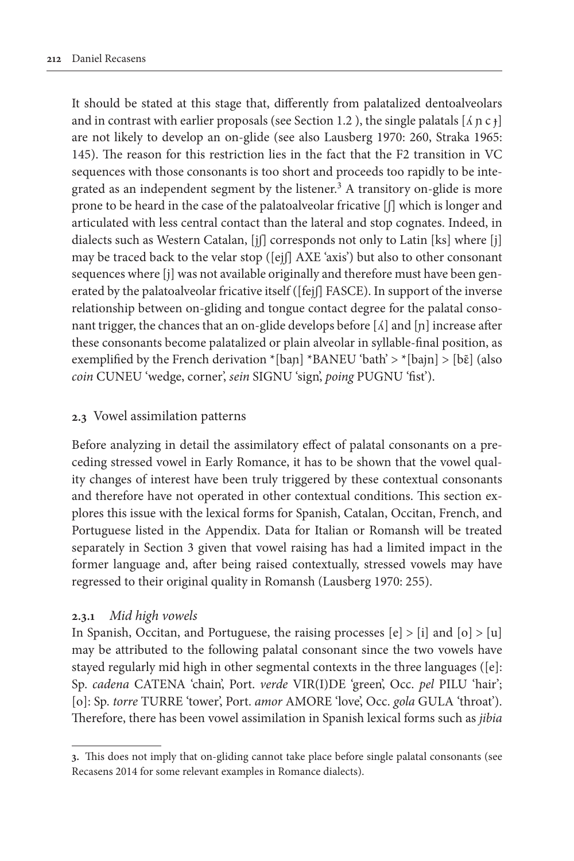It should be stated at this stage that, differently from palatalized dentoalveolars and in contrast with earlier proposals (see [Section 1.2](#page-3-0)), the single palatals  $\lceil \Lambda \ln c_f \rceil$ are not likely to develop an on-glide (see also [Lausberg 1970:](#page-34-9) 260, [Straka 1965](#page-36-1): 145). The reason for this restriction lies in the fact that the F2 transition in VC sequences with those consonants is too short and proceeds too rapidly to be integrated as an independent segment by the listener.<sup>3</sup> A transitory on-glide is more prone to be heard in the case of the palatoalveolar fricative [ʃ] which is longer and articulated with less central contact than the lateral and stop cognates. Indeed, in dialects such as Western Catalan, [jʃ] corresponds not only to Latin [ks] where [j] may be traced back to the velar stop ([ejʃ] AXE 'axis') but also to other consonant sequences where [j] was not available originally and therefore must have been generated by the palatoalveolar fricative itself ([fejʃ] FASCE). In support of the inverse relationship between on-gliding and tongue contact degree for the palatal consonant trigger, the chances that an on-glide develops before [ʎ] and [ɲ] increase after these consonants become palatalized or plain alveolar in syllable-final position, as exemplified by the French derivation  $*[ban] *BANEU 'bath' >*[bajn] > [bê]$  (also *coin* CUNEU 'wedge, corner', *sein* SIGNU 'sign', *poing* PUGNU 'fist').

#### <span id="page-11-0"></span>**2.3** Vowel assimilation patterns

Before analyzing in detail the assimilatory effect of palatal consonants on a preceding stressed vowel in Early Romance, it has to be shown that the vowel quality changes of interest have been truly triggered by these contextual consonants and therefore have not operated in other contextual conditions. This section explores this issue with the lexical forms for Spanish, Catalan, Occitan, French, and Portuguese listed in the Appendix. Data for Italian or Romansh will be treated separately in [Section 3](#page-26-0) given that vowel raising has had a limited impact in the former language and, after being raised contextually, stressed vowels may have regressed to their original quality in Romansh ([Lausberg 1970:](#page-34-9) 255).

#### <span id="page-11-2"></span>**2.3.1** *Mid high vowels*

In Spanish, Occitan, and Portuguese, the raising processes  $[e] > [i]$  and  $[o] > [u]$ may be attributed to the following palatal consonant since the two vowels have stayed regularly mid high in other segmental contexts in the three languages ([e]: Sp. *cadena* CATENA 'chain', Port. *verde* VIR(I)DE 'green', Occ. *pel* PILU 'hair'; [o]: Sp. *torre* TURRE 'tower', Port. *amor* AMORE 'love', Occ. *gola* GULA 'throat'). Therefore, there has been vowel assimilation in Spanish lexical forms such as *jibia*

<span id="page-11-1"></span>**<sup>3.</sup>** This does not imply that on-gliding cannot take place before single palatal consonants (see [Recasens 2014](#page-35-10) for some relevant examples in Romance dialects).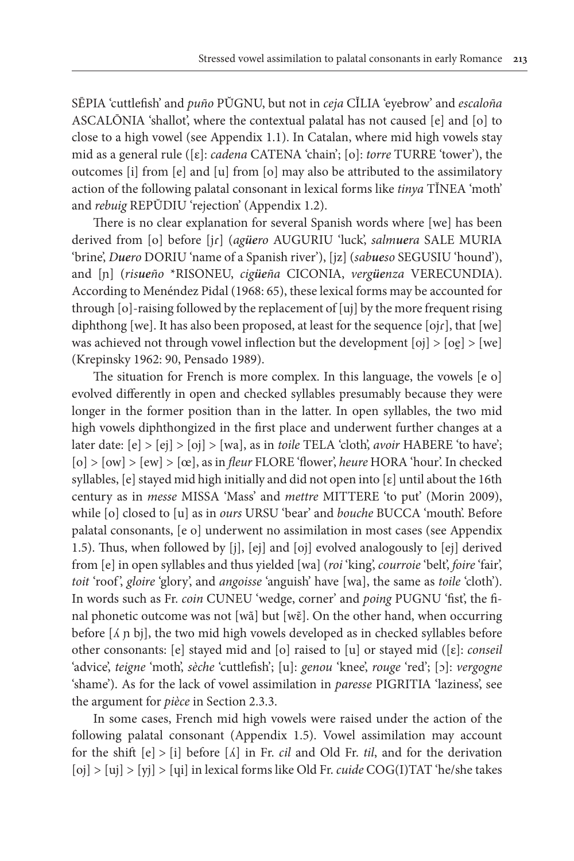SĒPIA 'cuttlefish' and *puño* PŬGNU, but not in *ceja* CĬLIA 'eyebrow' and *escaloña* ASCALŌNIA 'shallot', where the contextual palatal has not caused [e] and [o] to close to a high vowel (see Appendix 1.1). In Catalan, where mid high vowels stay mid as a general rule ([ɛ]: *cadena* CATENA 'chain'; [o]: *torre* TURRE 'tower'), the outcomes [i] from [e] and [u] from [o] may also be attributed to the assimilatory action of the following palatal consonant in lexical forms like *tinya* TĬNEA 'moth' and *rebuig* REPŬDIU 'rejection' (Appendix 1.2).

There is no clear explanation for several Spanish words where [we] has been derived from [o] before [jɾ] (*agüero* AUGURIU 'luck', *salmuera* SALE MURIA 'brine', *Duero* DORIU 'name of a Spanish river'), [jz] (*sabueso* SEGUSIU 'hound'), and [ɲ] (*risueño* \*RISONEU, *cigüeña* CICONIA, *vergüenza* VERECUNDIA). According to [Menéndez Pidal \(1968](#page-35-3): 65), these lexical forms may be accounted for through [o]-raising followed by the replacement of [uj] by the more frequent rising diphthong [we]. It has also been proposed, at least for the sequence [ojr], that [we] was achieved not through vowel inflection but the development  $[oi] > [oe] > [we]$ [\(Krepinsky 1962:](#page-34-12) 90, [Pensado 1989](#page-35-11)).

The situation for French is more complex. In this language, the vowels [e o] evolved differently in open and checked syllables presumably because they were longer in the former position than in the latter. In open syllables, the two mid high vowels diphthongized in the first place and underwent further changes at a later date: [e] > [ej] > [oj] > [wa], as in *toile* TELA 'cloth', *avoir* HABERE 'to have'; [o] > [ow] > [ew] > [œ], as in *fleur* FLORE 'flower', *heure* HORA 'hour'. In checked syllables, [e] stayed mid high initially and did not open into  $[\varepsilon]$  until about the 16th century as in *messe* MISSA 'Mass' and *mettre* MITTERE 'to put' [\(Morin 2009\)](#page-35-12), while [o] closed to [u] as in *ours* URSU 'bear' and *bouche* BUCCA 'mouth'. Before palatal consonants, [e o] underwent no assimilation in most cases (see Appendix 1.5). Thus, when followed by [j], [ej] and [oj] evolved analogously to [ej] derived from [e] in open syllables and thus yielded [wa] (*roi* 'king', *courroie* 'belt', *foire* 'fair', *toit* 'roof ', *gloire* 'glory', and *angoisse* 'anguish' have [wa], the same as *toile* 'cloth'). In words such as Fr. *coin* CUNEU 'wedge, corner' and *poing* PUGNU 'fist', the final phonetic outcome was not [wã] but [wɛ̃]. On the other hand, when occurring before [ʎ ɲ bj], the two mid high vowels developed as in checked syllables before other consonants: [e] stayed mid and [o] raised to [u] or stayed mid ([ɛ]: *conseil* 'advice', *teigne* 'moth', *sèche* 'cuttlefish'; [u]: *genou* 'knee', *rouge* 'red'; [ɔ]: *vergogne* 'shame'). As for the lack of vowel assimilation in *paresse* PIGRITIA 'laziness', see the argument for *pièce* in [Section 2.3.3.](#page-13-0)

In some cases, French mid high vowels were raised under the action of the following palatal consonant (Appendix 1.5). Vowel assimilation may account for the shift  $[e] > [i]$  before  $[\Lambda]$  in Fr. *cil* and Old Fr. *til*, and for the derivation [oj] > [uj] > [yj] > [ɥi] in lexical forms like Old Fr. *cuide* COG(I)TAT 'he/she takes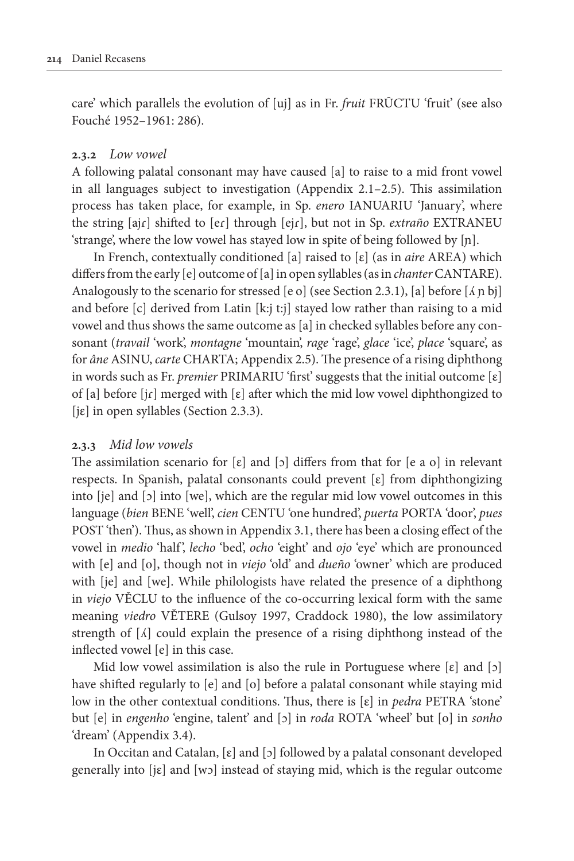care' which parallels the evolution of [uj] as in Fr. *fruit* FRŪCTU 'fruit' (see also [Fouché 1952–1961](#page-33-8): 286).

#### <span id="page-13-1"></span>**2.3.2** *Low vowel*

A following palatal consonant may have caused [a] to raise to a mid front vowel in all languages subject to investigation (Appendix 2.1–2.5). This assimilation process has taken place, for example, in Sp. *enero* IANUARIU 'January', where the string [ajɾ] shifted to [eɾ] through [ejɾ], but not in Sp. *extraño* EXTRANEU 'strange', where the low vowel has stayed low in spite of being followed by [ɲ].

In French, contextually conditioned [a] raised to [ɛ] (as in *aire* AREA) which differs from the early [e] outcome of [a] in open syllables (as in *chanter* CANTARE). Analogously to the scenario for stressed [e o] (see [Section 2.3.1](#page-11-2)), [a] before  $[\Lambda \text{ p } b]$ ] and before [c] derived from Latin [k:j t:j] stayed low rather than raising to a mid vowel and thus shows the same outcome as [a] in checked syllables before any consonant (*travail* 'work', *montagne* 'mountain', *rage* 'rage', *glace* 'ice', *place* 'square', as for *âne* ASINU, *carte* CHARTA; Appendix 2.5). The presence of a rising diphthong in words such as Fr. *premier* PRIMARIU 'first' suggests that the initial outcome [ɛ] of [a] before [jɾ] merged with  $[\varepsilon]$  after which the mid low vowel diphthongized to [jɛ] in open syllables ([Section 2.3.3](#page-13-0)).

### <span id="page-13-0"></span>**2.3.3** *Mid low vowels*

The assimilation scenario for  $[\varepsilon]$  and  $[\infty]$  differs from that for  $[\varepsilon]$  a o] in relevant respects. In Spanish, palatal consonants could prevent [ɛ] from diphthongizing into [je] and [ɔ] into [we], which are the regular mid low vowel outcomes in this language (*bien* BENE 'well', *cien* CENTU 'one hundred', *puerta* PORTA 'door', *pues* POST 'then'). Thus, as shown in Appendix 3.1, there has been a closing effect of the vowel in *medio* 'half ', *lecho* 'bed', *ocho* 'eight' and *ojo* 'eye' which are pronounced with [e] and [o], though not in *viejo* 'old' and *dueño* 'owner' which are produced with [je] and [we]. While philologists have related the presence of a diphthong in *viejo* VĚCLU to the influence of the co-occurring lexical form with the same meaning *viedro* VĚTERE [\(Gulsoy 1997,](#page-34-13) [Craddock 1980](#page-33-11)), the low assimilatory strength of [ʎ] could explain the presence of a rising diphthong instead of the inflected vowel [e] in this case.

Mid low vowel assimilation is also the rule in Portuguese where  $[\varepsilon]$  and  $[\infty]$ have shifted regularly to [e] and [o] before a palatal consonant while staying mid low in the other contextual conditions. Thus, there is [ɛ] in *pedra* PETRA 'stone' but [e] in *engenho* 'engine, talent' and [ɔ] in *roda* ROTA 'wheel' but [o] in *sonho* 'dream' (Appendix 3.4).

In Occitan and Catalan,  $[\varepsilon]$  and  $[\infty]$  followed by a palatal consonant developed generally into [jɛ] and [wɔ] instead of staying mid, which is the regular outcome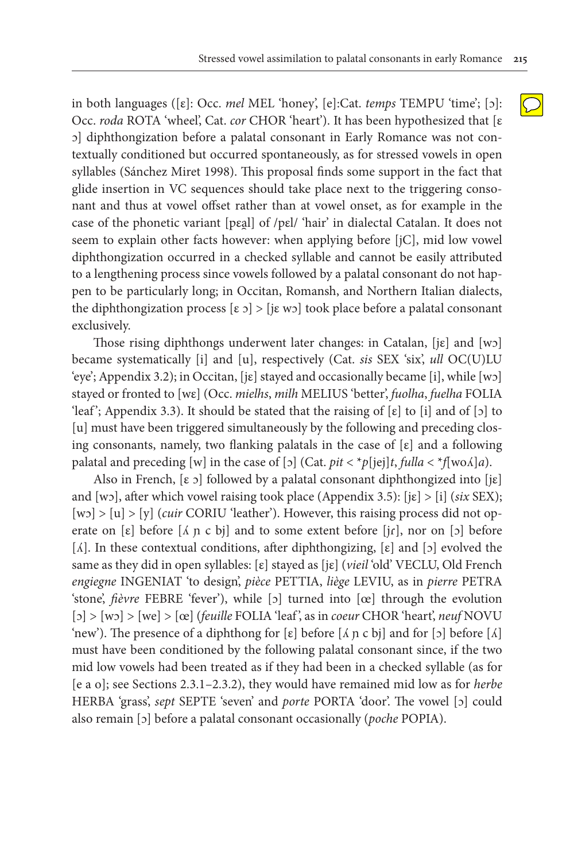in both languages ([ɛ]: Occ. *mel* MEL 'honey', [e]:Cat. *temps* TEMPU 'time'; [ɔ]: Occ. *roda* ROTA 'wheel', Cat. *cor* CHOR 'heart'). It has been hypothesized that [ɛ ɔ] diphthongization before a palatal consonant in Early Romance was not contextually conditioned but occurred spontaneously, as for stressed vowels in open syllables [\(Sánchez Miret 1998\)](#page-36-4). This proposal finds some support in the fact that glide insertion in VC sequences should take place next to the triggering consonant and thus at vowel offset rather than at vowel onset, as for example in the case of the phonetic variant [pɛa̯l] of /pɛl/ 'hair' in dialectal Catalan. It does not seem to explain other facts however: when applying before [jC], mid low vowel diphthongization occurred in a checked syllable and cannot be easily attributed to a lengthening process since vowels followed by a palatal consonant do not happen to be particularly long; in Occitan, Romansh, and Northern Italian dialects, the diphthongization process  $[\varepsilon] > [\varepsilon]$  wo] took place before a palatal consonant exclusively.

Those rising diphthongs underwent later changes: in Catalan, [jɛ] and [wɔ] became systematically [i] and [u], respectively (Cat. *sis* SEX 'six', *ull* OC(U)LU 'eye'; Appendix 3.2); in Occitan, [jɛ] stayed and occasionally became [i], while [wɔ] stayed or fronted to [wɛ] (Occ. *mielhs*, *milh* MELIUS 'better', *fuolha*, *fuelha* FOLIA 'leaf'; Appendix 3.3). It should be stated that the raising of  $[\varepsilon]$  to  $[i]$  and of  $[\circ]$  to [u] must have been triggered simultaneously by the following and preceding closing consonants, namely, two flanking palatals in the case of  $[\varepsilon]$  and a following palatal and preceding [w] in the case of [ɔ] (Cat. *pit* < \**p*[jej]*t*, *fulla* < \**f*[woʎ]*a*).

Also in French, [ɛ ɔ] followed by a palatal consonant diphthongized into [jɛ] and [wɔ], after which vowel raising took place (Appendix 3.5): [jɛ] > [i] (*six* SEX); [wɔ] > [u] > [y] (*cuir* CORIU 'leather'). However, this raising process did not operate on [ɛ] before  $[\lambda \, \text{n} \, \text{c} \, \text{b}]$  and to some extent before  $[\text{i} \, \text{c}]$ , nor on  $[\text{c}]$  before [ $\Lambda$ ]. In these contextual conditions, after diphthongizing, [ $\epsilon$ ] and [ $\sigma$ ] evolved the same as they did in open syllables: [ɛ] stayed as [jɛ] (*vieil* 'old' VECLU, Old French *engiegne* INGENIAT 'to design', *pièce* PETTIA, *liège* LEVIU, as in *pierre* PETRA 'stone', *fièvre* FEBRE 'fever'), while [ɔ] turned into [œ] through the evolution [ɔ] > [wɔ] > [we] > [œ] (*feuille* FOLIA 'leaf ', as in *coeur* CHOR 'heart', *neuf* NOVU 'new'). The presence of a diphthong for  $[\varepsilon]$  before  $[\Lambda \cap \varepsilon$  bj] and for  $[\infty]$  before  $[\Lambda]$ must have been conditioned by the following palatal consonant since, if the two mid low vowels had been treated as if they had been in a checked syllable (as for [e a o]; see [Sections 2.3.1](#page-11-2)–[2.3.2\)](#page-13-1), they would have remained mid low as for *herbe* HERBA 'grass', *sept* SEPTE 'seven' and *porte* PORTA 'door'. The vowel [ɔ] could also remain [ɔ] before a palatal consonant occasionally (*poche* POPIA).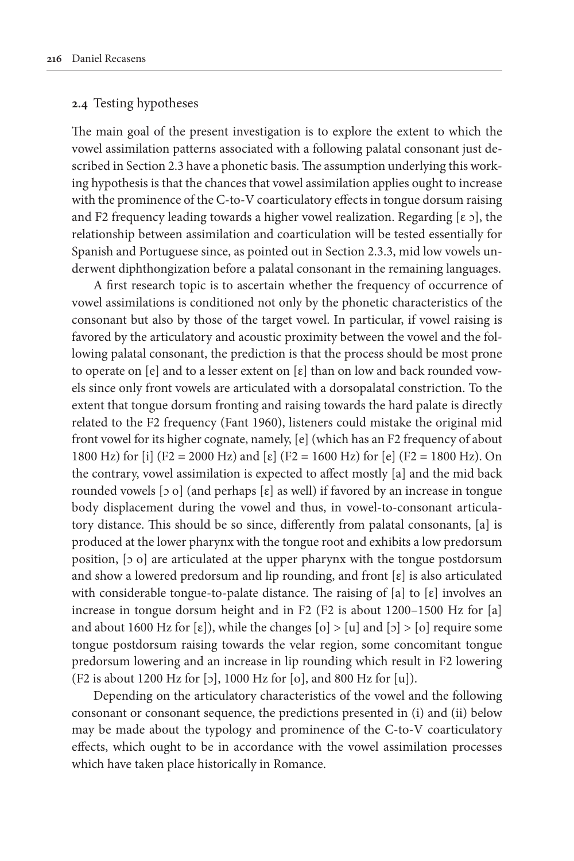#### <span id="page-15-0"></span>**2.4** Testing hypotheses

The main goal of the present investigation is to explore the extent to which the vowel assimilation patterns associated with a following palatal consonant just described in [Section 2.3](#page-11-0) have a phonetic basis. The assumption underlying this working hypothesis is that the chances that vowel assimilation applies ought to increase with the prominence of the C-to-V coarticulatory effects in tongue dorsum raising and F2 frequency leading towards a higher vowel realization. Regarding [ɛ ɔ], the relationship between assimilation and coarticulation will be tested essentially for Spanish and Portuguese since, as pointed out in [Section 2.3.3](#page-13-0), mid low vowels underwent diphthongization before a palatal consonant in the remaining languages.

A first research topic is to ascertain whether the frequency of occurrence of vowel assimilations is conditioned not only by the phonetic characteristics of the consonant but also by those of the target vowel. In particular, if vowel raising is favored by the articulatory and acoustic proximity between the vowel and the following palatal consonant, the prediction is that the process should be most prone to operate on [e] and to a lesser extent on  $[\varepsilon]$  than on low and back rounded vowels since only front vowels are articulated with a dorsopalatal constriction. To the extent that tongue dorsum fronting and raising towards the hard palate is directly related to the F2 frequency ([Fant 1960](#page-33-12)), listeners could mistake the original mid front vowel for its higher cognate, namely, [e] (which has an F2 frequency of about 1800 Hz) for [i] (F2 = 2000 Hz) and [ɛ] (F2 = 1600 Hz) for [e] (F2 = 1800 Hz). On the contrary, vowel assimilation is expected to affect mostly [a] and the mid back rounded vowels [ $\circ$  o] (and perhaps [ $\epsilon$ ] as well) if favored by an increase in tongue body displacement during the vowel and thus, in vowel-to-consonant articulatory distance. This should be so since, differently from palatal consonants, [a] is produced at the lower pharynx with the tongue root and exhibits a low predorsum position, [ɔ o] are articulated at the upper pharynx with the tongue postdorsum and show a lowered predorsum and lip rounding, and front  $[\varepsilon]$  is also articulated with considerable tongue-to-palate distance. The raising of  $[a]$  to  $[\varepsilon]$  involves an increase in tongue dorsum height and in F2 (F2 is about 1200–1500 Hz for [a] and about 1600 Hz for  $[\varepsilon]$ ), while the changes  $[0] > [u]$  and  $[0] > [o]$  require some tongue postdorsum raising towards the velar region, some concomitant tongue predorsum lowering and an increase in lip rounding which result in F2 lowering (F2 is about 1200 Hz for [ɔ], 1000 Hz for [o], and 800 Hz for [u]).

Depending on the articulatory characteristics of the vowel and the following consonant or consonant sequence, the predictions presented in (i) and (ii) below may be made about the typology and prominence of the C-to-V coarticulatory effects, which ought to be in accordance with the vowel assimilation processes which have taken place historically in Romance.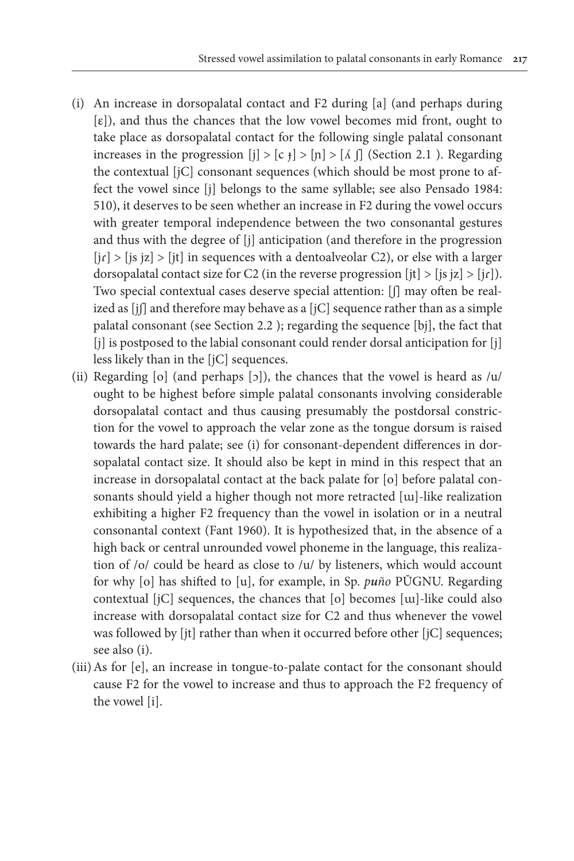- (i) An increase in dorsopalatal contact and F2 during [a] (and perhaps during  $[\varepsilon]$ ), and thus the chances that the low vowel becomes mid front, ought to take place as dorsopalatal contact for the following single palatal consonant increases in the progression  $[i] > [c_j] > [n] > [A_j]$  [\(Section 2.1](#page-6-1)). Regarding the contextual [jC] consonant sequences (which should be most prone to affect the vowel since [j] belongs to the same syllable; see also [Pensado 1984](#page-35-13): 510), it deserves to be seen whether an increase in F2 during the vowel occurs with greater temporal independence between the two consonantal gestures and thus with the degree of [j] anticipation (and therefore in the progression  $[i] > [j\epsilon] > [j\epsilon]$  in sequences with a dentoalveolar C2), or else with a larger dorsopalatal contact size for C2 (in the reverse progression [jt] > [js jz] > [jɾ]). Two special contextual cases deserve special attention: [ʃ] may often be realized as [j[] and therefore may behave as a [jC] sequence rather than as a simple palatal consonant (see [Section 2.2](#page-8-0) ); regarding the sequence [bj], the fact that [j] is postposed to the labial consonant could render dorsal anticipation for [j] less likely than in the [jC] sequences.
- (ii) Regarding [o] (and perhaps [ɔ]), the chances that the vowel is heard as /u/ ought to be highest before simple palatal consonants involving considerable dorsopalatal contact and thus causing presumably the postdorsal constriction for the vowel to approach the velar zone as the tongue dorsum is raised towards the hard palate; see (i) for consonant-dependent differences in dorsopalatal contact size. It should also be kept in mind in this respect that an increase in dorsopalatal contact at the back palate for [o] before palatal consonants should yield a higher though not more retracted [ɯ]-like realization exhibiting a higher F2 frequency than the vowel in isolation or in a neutral consonantal context [\(Fant 1960](#page-33-12)). It is hypothesized that, in the absence of a high back or central unrounded vowel phoneme in the language, this realization of /o/ could be heard as close to /u/ by listeners, which would account for why [o] has shifted to [u], for example, in Sp. *puño* PŬGNU. Regarding contextual [jC] sequences, the chances that [o] becomes [ɯ]-like could also increase with dorsopalatal contact size for C2 and thus whenever the vowel was followed by [jt] rather than when it occurred before other [jC] sequences; see also (i).
- (iii)As for [e], an increase in tongue-to-palate contact for the consonant should cause F2 for the vowel to increase and thus to approach the F2 frequency of the vowel [i].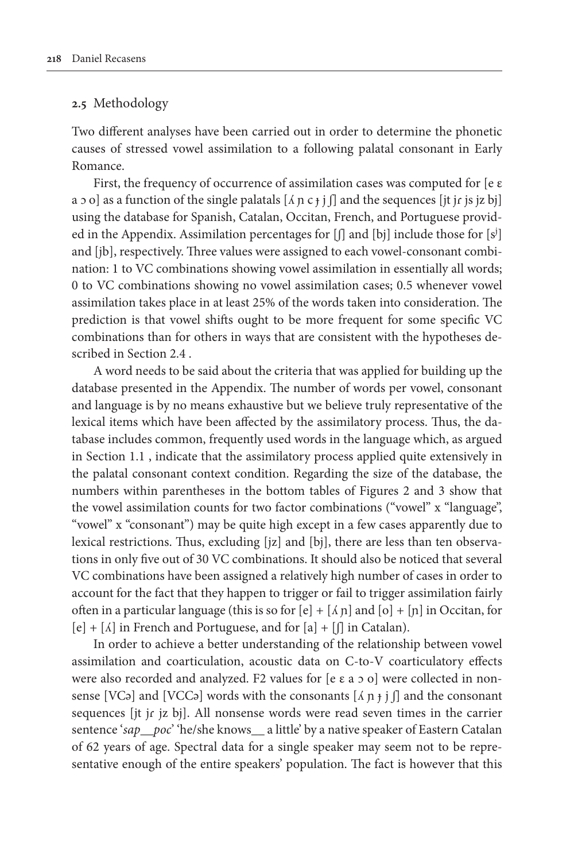#### **2.5** Methodology

Two different analyses have been carried out in order to determine the phonetic causes of stressed vowel assimilation to a following palatal consonant in Early Romance.

First, the frequency of occurrence of assimilation cases was computed for [e  $\varepsilon$ a  $\infty$  o] as a function of the single palatals  $\lceil \Lambda \ln c + j \rceil$  and the sequences  $\lceil i \rceil$  is jz bj] using the database for Spanish, Catalan, Occitan, French, and Portuguese provided in the Appendix. Assimilation percentages for  $\left[\int\right]$  and  $[b]$  include those for  $[s^j]$ and [jb], respectively. Three values were assigned to each vowel-consonant combination: 1 to VC combinations showing vowel assimilation in essentially all words; 0 to VC combinations showing no vowel assimilation cases; 0.5 whenever vowel assimilation takes place in at least 25% of the words taken into consideration. The prediction is that vowel shifts ought to be more frequent for some specific VC combinations than for others in ways that are consistent with the hypotheses described in [Section 2.4](#page-15-0) .

A word needs to be said about the criteria that was applied for building up the database presented in the Appendix. The number of words per vowel, consonant and language is by no means exhaustive but we believe truly representative of the lexical items which have been affected by the assimilatory process. Thus, the database includes common, frequently used words in the language which, as argued in [Section 1.1](#page-2-0) , indicate that the assimilatory process applied quite extensively in the palatal consonant context condition. Regarding the size of the database, the numbers within parentheses in the bottom tables of [Figures 2](#page-19-1) and [3](#page-20-0) show that the vowel assimilation counts for two factor combinations ("vowel" x "language", "vowel" x "consonant") may be quite high except in a few cases apparently due to lexical restrictions. Thus, excluding [jz] and [bj], there are less than ten observations in only five out of 30 VC combinations. It should also be noticed that several VC combinations have been assigned a relatively high number of cases in order to account for the fact that they happen to trigger or fail to trigger assimilation fairly often in a particular language (this is so for  $[e] + [\Lambda \eta]$  and  $[o] + [\eta]$  in Occitan, for  $[e] + [\Lambda]$  in French and Portuguese, and for  $[a] + [\Lambda]$  in Catalan).

In order to achieve a better understanding of the relationship between vowel assimilation and coarticulation, acoustic data on C-to-V coarticulatory effects were also recorded and analyzed. F2 values for [e ɛ a ɔ o] were collected in nonsense [VCə] and [VCCə] words with the consonants  $[\Lambda \, \eta \, \eta]$  and the consonant sequences [jt jr jz bj]. All nonsense words were read seven times in the carrier sentence '*sap*\_\_*poc*' 'he/she knows\_\_ a little' by a native speaker of Eastern Catalan of 62 years of age. Spectral data for a single speaker may seem not to be representative enough of the entire speakers' population. The fact is however that this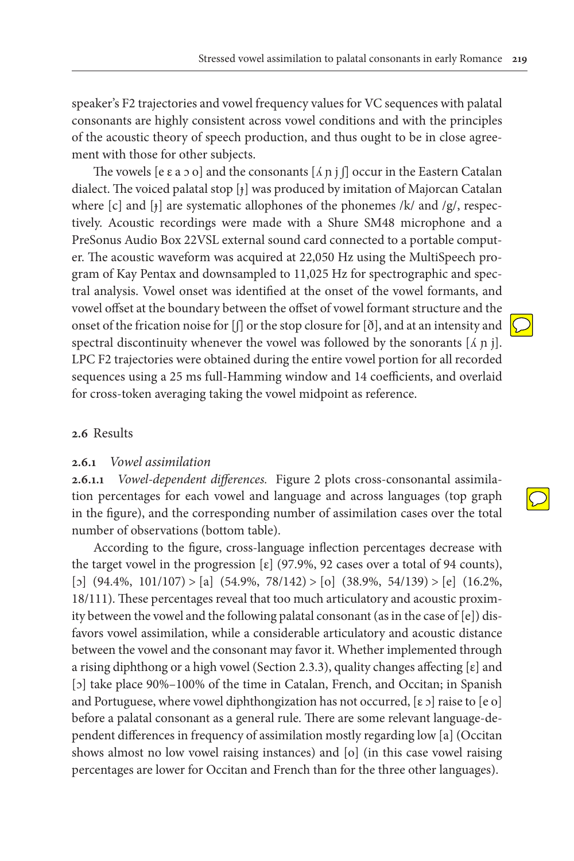speaker's F2 trajectories and vowel frequency values for VC sequences with palatal consonants are highly consistent across vowel conditions and with the principles of the acoustic theory of speech production, and thus ought to be in close agreement with those for other subjects.

The vowels [e  $\varepsilon$  a  $\infty$  o] and the consonants  $\lceil \Lambda \ln j \rceil$  occur in the Eastern Catalan dialect. The voiced palatal stop [ɟ] was produced by imitation of Majorcan Catalan where  $[c]$  and  $[i]$  are systematic allophones of the phonemes /k/ and /g/, respectively. Acoustic recordings were made with a Shure SM48 microphone and a PreSonus Audio Box 22VSL external sound card connected to a portable computer. The acoustic waveform was acquired at 22,050 Hz using the MultiSpeech program of Kay Pentax and downsampled to 11,025 Hz for spectrographic and spectral analysis. Vowel onset was identified at the onset of the vowel formants, and vowel offset at the boundary between the offset of vowel formant structure and the onset of the frication noise for [J] or the stop closure for [ $\delta$ ], and at an intensity and  $\bigcirc$ spectral discontinuity whenever the vowel was followed by the sonorants  $[\Lambda]$  n j]. LPC F2 trajectories were obtained during the entire vowel portion for all recorded sequences using a 25 ms full-Hamming window and 14 coefficients, and overlaid for cross-token averaging taking the vowel midpoint as reference.

### **2.6** Results

### <span id="page-18-0"></span>**2.6.1** *Vowel assimilation*

<span id="page-18-1"></span>**2.6.1.1** *Vowel-dependent differences.* [Figure 2](#page-19-1) plots cross-consonantal assimilation percentages for each vowel and language and across languages (top graph in the figure), and the corresponding number of assimilation cases over the total number of observations (bottom table).

According to the figure, cross-language inflection percentages decrease with the target vowel in the progression  $[\varepsilon]$  (97.9%, 92 cases over a total of 94 counts), [b]  $(94.4\%, 101/107) > [a]$   $(54.9\%, 78/142) > [o]$   $(38.9\%, 54/139) > [e]$   $(16.2\%,$ 18/111). These percentages reveal that too much articulatory and acoustic proximity between the vowel and the following palatal consonant (as in the case of [e]) disfavors vowel assimilation, while a considerable articulatory and acoustic distance between the vowel and the consonant may favor it. Whether implemented through a rising diphthong or a high vowel [\(Section 2.3.3\)](#page-13-0), quality changes affecting  $[\epsilon]$  and [ɔ] take place 90%–100% of the time in Catalan, French, and Occitan; in Spanish and Portuguese, where vowel diphthongization has not occurred,  $[\varepsilon 5]$  raise to  $[\varepsilon 0]$ before a palatal consonant as a general rule. There are some relevant language-dependent differences in frequency of assimilation mostly regarding low [a] (Occitan shows almost no low vowel raising instances) and [o] (in this case vowel raising percentages are lower for Occitan and French than for the three other languages).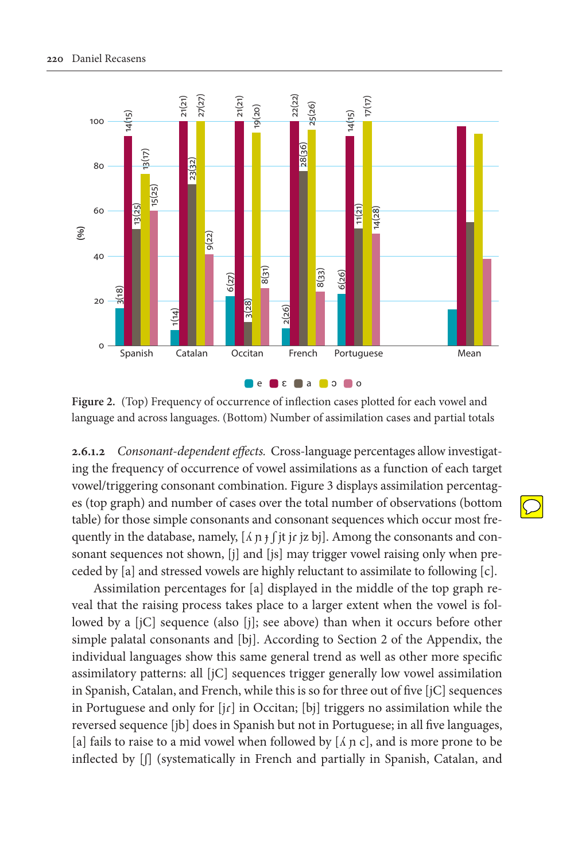

<span id="page-19-1"></span>**Figure 2.** (Top) Frequency of occurrence of inflection cases plotted for each vowel and language and across languages. (Bottom) Number of assimilation cases and partial totals

<span id="page-19-0"></span>**2.6.1.2** *Consonant-dependent effects.* Cross-language percentages allow investigating the frequency of occurrence of vowel assimilations as a function of each target vowel/triggering consonant combination. [Figure 3](#page-20-0) displays assimilation percentages (top graph) and number of cases over the total number of observations (bottom table) for those simple consonants and consonant sequences which occur most frequently in the database, namely,  $[\Lambda \, n \, f \, j \, t \, j \, r \, j \, z \, b \, j]$ . Among the consonants and consonant sequences not shown, [j] and [js] may trigger vowel raising only when preceded by [a] and stressed vowels are highly reluctant to assimilate to following [c].

Assimilation percentages for [a] displayed in the middle of the top graph reveal that the raising process takes place to a larger extent when the vowel is followed by a [jC] sequence (also [j]; see above) than when it occurs before other simple palatal consonants and [bj]. According to [Section 2](#page-6-0) of the Appendix, the individual languages show this same general trend as well as other more specific assimilatory patterns: all [jC] sequences trigger generally low vowel assimilation in Spanish, Catalan, and French, while this is so for three out of five [jC] sequences in Portuguese and only for [jɾ] in Occitan; [bj] triggers no assimilation while the reversed sequence [jb] does in Spanish but not in Portuguese; in all five languages, [a] fails to raise to a mid vowel when followed by  $[\Lambda \, \text{p } c]$ , and is more prone to be inflected by [ʃ] (systematically in French and partially in Spanish, Catalan, and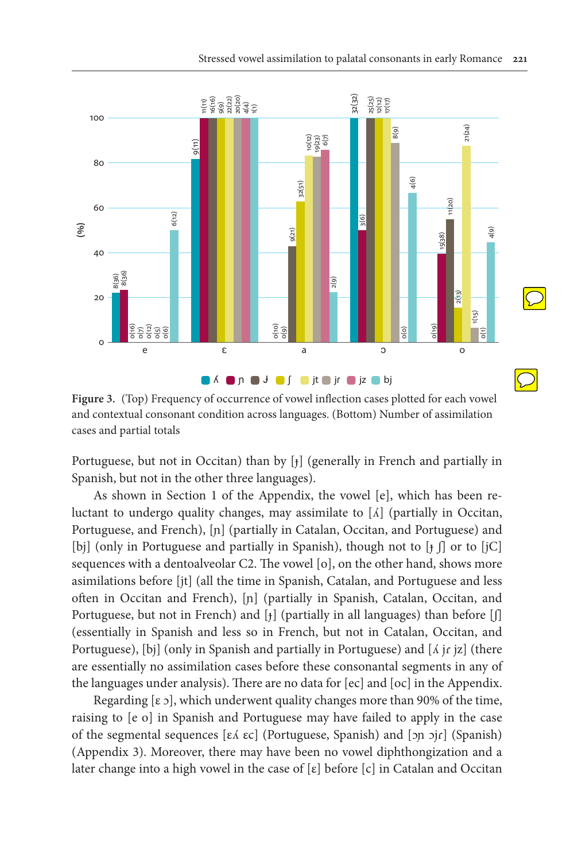



<span id="page-20-0"></span>**Figure 3.** (Top) Frequency of occurrence of vowel inflection cases plotted for each vowel and contextual consonant condition across languages. (Bottom) Number of assimilation cases and partial totals

Portuguese, but not in Occitan) than by [H] (generally in French and partially in Spanish, but not in the other three languages).

As shown in [Section 1](#page-0-0) of the Appendix, the vowel [e], which has been reluctant to undergo quality changes, may assimilate to [ʎ] (partially in Occitan, Portuguese, and French), [ɲ] (partially in Catalan, Occitan, and Portuguese) and [bj] (only in Portuguese and partially in Spanish), though not to [ɟ ʃ] or to [jC] sequences with a dentoalveolar C2. The vowel [o], on the other hand, shows more asimilations before [jt] (all the time in Spanish, Catalan, and Portuguese and less often in Occitan and French), [ɲ] (partially in Spanish, Catalan, Occitan, and Portuguese, but not in French) and [J] (partially in all languages) than before [J] (essentially in Spanish and less so in French, but not in Catalan, Occitan, and Portuguese), [bj] (only in Spanish and partially in Portuguese) and [ʎ jɾ jz] (there are essentially no assimilation cases before these consonantal segments in any of the languages under analysis). There are no data for [ec] and [oc] in the Appendix. later change into a high vowel in the case of [ɛ] before [c] in Catalan and Occitan **(%)**

Regarding [ɛ ɔ], which underwent quality changes more than 90% of the time, raising to [e o] in Spanish and Portuguese may have failed to apply in the case of the segmental sequences [ɛʎ ɛc] (Portuguese, Spanish) and [ɔɲ ɔjɾ] (Spanish) (Appendix 3). Moreover, there may have been no vowel diphthongization and a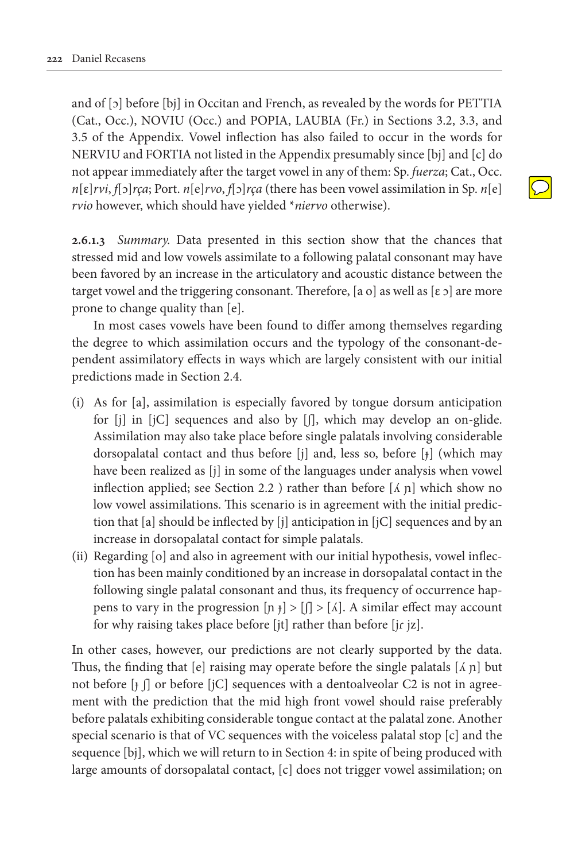and of [ɔ] before [bj] in Occitan and French, as revealed by the words for PETTIA (Cat., Occ.), NOVIU (Occ.) and POPIA, LAUBIA (Fr.) in Sections 3.2, 3.3, and 3.5 of the Appendix. Vowel inflection has also failed to occur in the words for NERVIU and FORTIA not listed in the Appendix presumably since [bj] and [c] do not appear immediately after the target vowel in any of them: Sp. *fuerza*; Cat., Occ. *n*[ɛ]*rvi*, *f*[ɔ]*rça*; Port. *n*[e]*rvo*, *f*[ɔ]*rça* (there has been vowel assimilation in Sp. *n*[e] *rvio* however, which should have yielded \**niervo* otherwise).

**2.6.1.3** *Summary.* Data presented in this section show that the chances that stressed mid and low vowels assimilate to a following palatal consonant may have been favored by an increase in the articulatory and acoustic distance between the target vowel and the triggering consonant. Therefore, [a o] as well as  $[\epsilon]$  are more prone to change quality than [e].

In most cases vowels have been found to differ among themselves regarding the degree to which assimilation occurs and the typology of the consonant-dependent assimilatory effects in ways which are largely consistent with our initial predictions made in [Section 2.4.](#page-15-0)

- (i) As for [a], assimilation is especially favored by tongue dorsum anticipation for [j] in [jC] sequences and also by [ʃ], which may develop an on-glide. Assimilation may also take place before single palatals involving considerable dorsopalatal contact and thus before [j] and, less so, before [ɟ] (which may have been realized as [j] in some of the languages under analysis when vowel inflection applied; see [Section 2.2](#page-8-0) ) rather than before  $[\Lambda]$  which show no low vowel assimilations. This scenario is in agreement with the initial prediction that [a] should be inflected by [j] anticipation in [jC] sequences and by an increase in dorsopalatal contact for simple palatals.
- (ii) Regarding [o] and also in agreement with our initial hypothesis, vowel inflection has been mainly conditioned by an increase in dorsopalatal contact in the following single palatal consonant and thus, its frequency of occurrence happens to vary in the progression  $[n]$  >  $[$  $]$  >  $[$  $\Lambda$ ]. A similar effect may account for why raising takes place before [jt] rather than before [jɾ jz].

In other cases, however, our predictions are not clearly supported by the data. Thus, the finding that [e] raising may operate before the single palatals  $[\Lambda]$  p] but not before  $\left[\begin{array}{c} \uparrow \end{array}\right]$  or before  $\left[\begin{array}{c} \downarrow \end{array}\right]$  sequences with a dentoalveolar C2 is not in agreement with the prediction that the mid high front vowel should raise preferably before palatals exhibiting considerable tongue contact at the palatal zone. Another special scenario is that of VC sequences with the voiceless palatal stop [c] and the sequence [bj], which we will return to in [Section 4:](#page-27-0) in spite of being produced with large amounts of dorsopalatal contact, [c] does not trigger vowel assimilation; on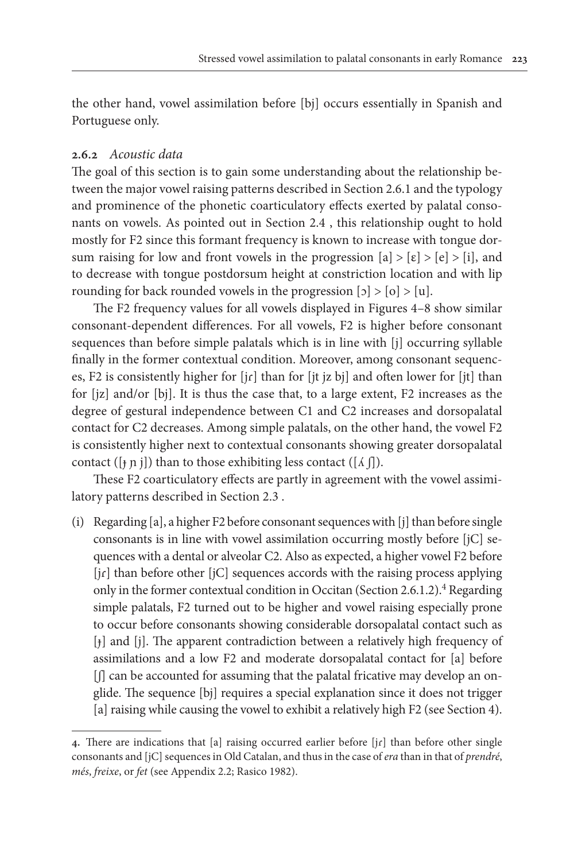the other hand, vowel assimilation before [bj] occurs essentially in Spanish and Portuguese only.

#### **2.6.2** *Acoustic data*

The goal of this section is to gain some understanding about the relationship between the major vowel raising patterns described in [Section 2.6.1](#page-18-0) and the typology and prominence of the phonetic coarticulatory effects exerted by palatal consonants on vowels. As pointed out in [Section 2.4](#page-15-0) , this relationship ought to hold mostly for F2 since this formant frequency is known to increase with tongue dorsum raising for low and front vowels in the progression  $[a] > [e] > [e] > [i]$ , and to decrease with tongue postdorsum height at constriction location and with lip rounding for back rounded vowels in the progression  $[\circ] > [\circ] > [\mathfrak{u}]$ .

The F2 frequency values for all vowels displayed in [Figures 4](#page-23-0)[–8](#page-25-0) show similar consonant-dependent differences. For all vowels, F2 is higher before consonant sequences than before simple palatals which is in line with [j] occurring syllable finally in the former contextual condition. Moreover, among consonant sequences, F2 is consistently higher for [jɾ] than for [jt jz bj] and often lower for [jt] than for [jz] and/or [bj]. It is thus the case that, to a large extent, F2 increases as the degree of gestural independence between C1 and C2 increases and dorsopalatal contact for C2 decreases. Among simple palatals, on the other hand, the vowel F2 is consistently higher next to contextual consonants showing greater dorsopalatal contact ([ $\uparrow$  n j]) than to those exhibiting less contact ([ $\land$  []).

These F2 coarticulatory effects are partly in agreement with the vowel assimilatory patterns described in [Section 2.3](#page-11-0) .

(i) Regarding [a], a higher F2 before consonant sequences with [j] than before single consonants is in line with vowel assimilation occurring mostly before [jC] sequences with a dental or alveolar C2. Also as expected, a higher vowel F2 before [jr] than before other [jC] sequences accords with the raising process applying only in the former contextual condition in Occitan [\(Section 2.6.1.2](#page-19-0)).<sup>4</sup> Regarding simple palatals, F2 turned out to be higher and vowel raising especially prone to occur before consonants showing considerable dorsopalatal contact such as [H] and [j]. The apparent contradiction between a relatively high frequency of assimilations and a low F2 and moderate dorsopalatal contact for [a] before [f] can be accounted for assuming that the palatal fricative may develop an onglide. The sequence [bj] requires a special explanation since it does not trigger [a] raising while causing the vowel to exhibit a relatively high F2 (see [Section 4\)](#page-27-0).

<span id="page-22-0"></span>**<sup>4.</sup>** There are indications that [a] raising occurred earlier before [jɾ] than before other single consonants and [jC] sequences in Old Catalan, and thus in the case of *era* than in that of *prendré*, *més*, *freixe*, or *fet* (see Appendix 2.2; [Rasico 1982](#page-35-14)).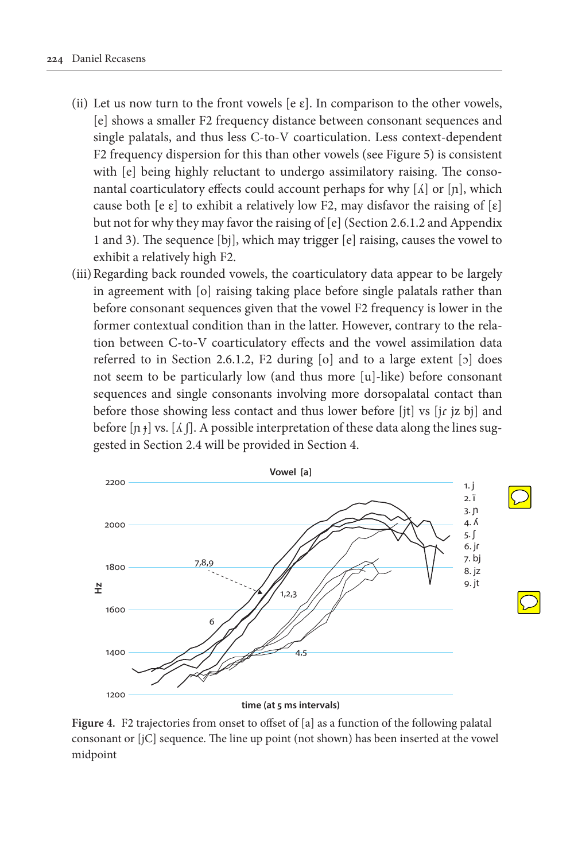- (ii) Let us now turn to the front vowels [e  $\varepsilon$ ]. In comparison to the other vowels, [e] shows a smaller F2 frequency distance between consonant sequences and single palatals, and thus less C-to-V coarticulation. Less context-dependent F2 frequency dispersion for this than other vowels (see [Figure 5\)](#page-24-0) is consistent with [e] being highly reluctant to undergo assimilatory raising. The consonantal coarticulatory effects could account perhaps for why  $\lceil \Delta \rceil$  or  $\lceil n \rceil$ , which cause both  $[e \varepsilon]$  to exhibit a relatively low F2, may disfavor the raising of  $[\varepsilon]$ but not for why they may favor the raising of [e] [\(Section 2.6.1.2](#page-19-0) and Appendix 1 and 3). The sequence [bj], which may trigger [e] raising, causes the vowel to exhibit a relatively high F2.
- (iii)Regarding back rounded vowels, the coarticulatory data appear to be largely in agreement with [o] raising taking place before single palatals rather than before consonant sequences given that the vowel F2 frequency is lower in the former contextual condition than in the latter. However, contrary to the relation between C-to-V coarticulatory effects and the vowel assimilation data referred to in [Section 2.6.1.2](#page-19-0), F2 during [o] and to a large extent [ɔ] does not seem to be particularly low (and thus more [u]-like) before consonant sequences and single consonants involving more dorsopalatal contact than before those showing less contact and thus lower before [jt] vs [jɾ jz bj] and before  $[n]$  vs. [ $\Lambda$ ]. A possible interpretation of these data along the lines suggested in [Section 2.4](#page-15-0) will be provided in [Section 4](#page-27-0).



<span id="page-23-0"></span>**Figure 4.** F2 trajectories from onset to offset of [a] as a function of the following palatal consonant or [jC] sequence. The line up point (not shown) has been inserted at the vowel midpoint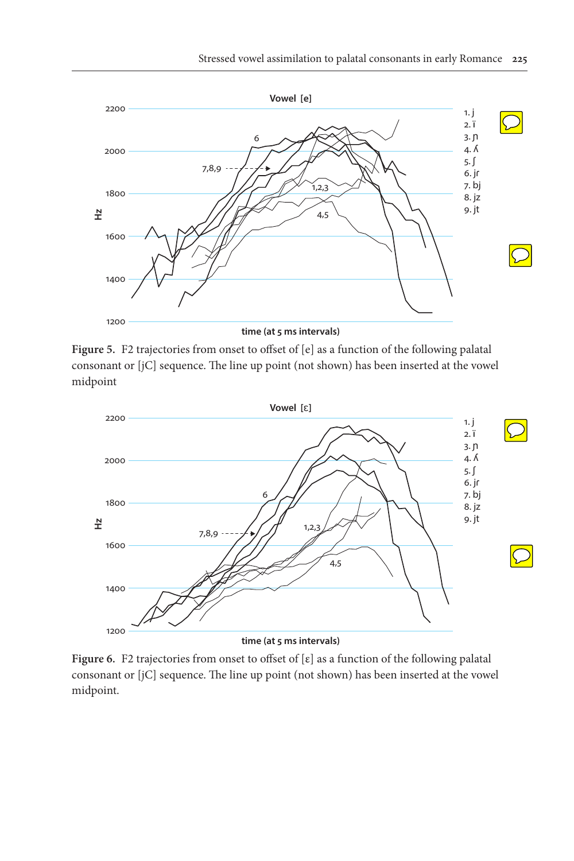

**time (at 5 ms intervals)**

<span id="page-24-0"></span>**Figure 5.** F2 trajectories from onset to offset of [e] as a function of the following palatal consonant or [jC] sequence. The line up point (not shown) has been inserted at the vowel midpoint



Figure 6. F2 trajectories from onset to offset of [ɛ] as a function of the following palatal consonant or [jC] sequence. The line up point (not shown) has been inserted at the vowel midpoint.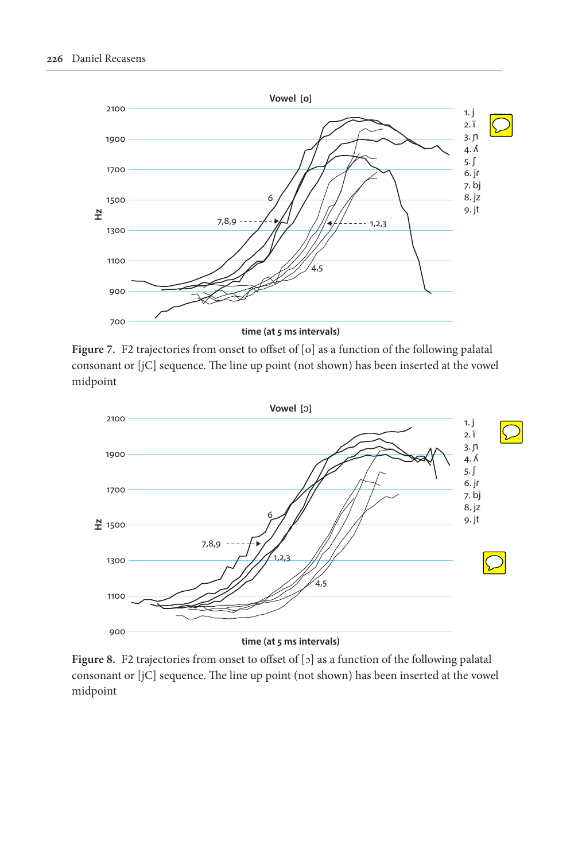

<span id="page-25-1"></span>Figure 7. F2 trajectories from onset to offset of [o] as a function of the following palatal consonant or [jC] sequence. The line up point (not shown) has been inserted at the vowel midpoint



<span id="page-25-0"></span>**Figure 8.** F2 trajectories from onset to offset of [ɔ] as a function of the following palatal consonant or [jC] sequence. The line up point (not shown) has been inserted at the vowel midpoint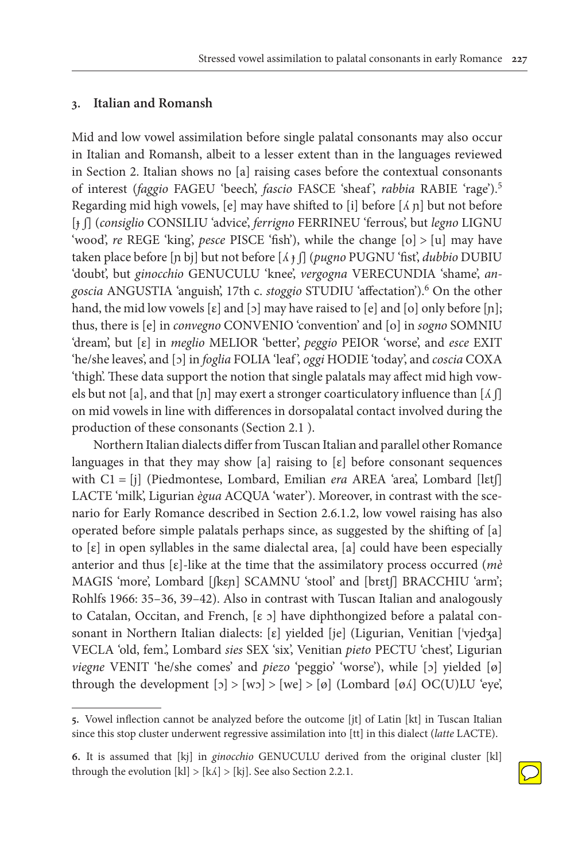### <span id="page-26-0"></span>**3. Italian and Romansh**

Mid and low vowel assimilation before single palatal consonants may also occur in Italian and Romansh, albeit to a lesser extent than in the languages reviewed in [Section 2.](#page-6-0) Italian shows no [a] raising cases before the contextual consonants of interest (*faggio* FAGEU 'beech', *fascio* FASCE 'sheaf ', *rabbia* RABIE 'rage')[.5](#page-26-1) Regarding mid high vowels,  $[e]$  may have shifted to  $[i]$  before  $[A]$  but not before [ɟ ʃ] (*consiglio* CONSILIU 'advice', *ferrigno* FERRINEU 'ferrous', but *legno* LIGNU 'wood', *re* REGE 'king', *pesce* PISCE 'fish'), while the change [o] > [u] may have taken place before [ɲ bj] but not before [ʎ ɟ ʃ] (*pugno* PUGNU 'fist', *dubbio* DUBIU 'doubt', but *ginocchio* GENUCULU 'knee', *vergogna* VERECUNDIA 'shame', *angoscia* ANGUSTIA 'anguish', 17th c. *stoggio* STUDIU 'affectation')[.6](#page-26-2) On the other hand, the mid low vowels  $[\varepsilon]$  and  $[\circ]$  may have raised to  $[\varepsilon]$  and  $[\circ]$  only before  $[\eta]$ ; thus, there is [e] in *convegno* CONVENIO 'convention' and [o] in *sogno* SOMNIU 'dream', but [ɛ] in *meglio* MELIOR 'better', *peggio* PEIOR 'worse', and *esce* EXIT 'he/she leaves', and [ɔ] in *foglia* FOLIA 'leaf ', *oggi* HODIE 'today', and *coscia* COXA 'thigh'. These data support the notion that single palatals may affect mid high vowels but not [a], and that [n] may exert a stronger coarticulatory influence than  $\lbrack \Lambda \rbrack$ on mid vowels in line with differences in dorsopalatal contact involved during the production of these consonants [\(Section 2.1](#page-6-1) ).

Northern Italian dialects differ from Tuscan Italian and parallel other Romance languages in that they may show  $[a]$  raising to  $[\varepsilon]$  before consonant sequences with C1 = [j] (Piedmontese, Lombard, Emilian *era* AREA 'area', Lombard [lɛtʃ] LACTE 'milk', Ligurian *ègua* ACQUA 'water'). Moreover, in contrast with the scenario for Early Romance described in [Section 2.6.1.2](#page-19-0), low vowel raising has also operated before simple palatals perhaps since, as suggested by the shifting of [a] to  $[\varepsilon]$  in open syllables in the same dialectal area,  $[a]$  could have been especially anterior and thus [ɛ]-like at the time that the assimilatory process occurred (*mè* MAGIS 'more', Lombard [ʃkɛɲ] SCAMNU 'stool' and [brɛtʃ] BRACCHIU 'arm'; [Rohlfs 1966:](#page-36-5) 35–36, 39–42). Also in contrast with Tuscan Italian and analogously to Catalan, Occitan, and French, [ɛ ɔ] have diphthongized before a palatal consonant in Northern Italian dialects: [ɛ] yielded [je] (Ligurian, Venitian [ˈvjedʒa] VECLA 'old, fem.', Lombard *sies* SEX 'six', Venitian *pieto* PECTU 'chest', Ligurian *viegne* VENIT 'he/she comes' and *piezo* 'peggio' 'worse'), while [ɔ] yielded [ø] through the development  $[\triangleright] > [w\triangleright] > [w\cdot \mathtt{e}] > [\emptyset]$  (Lombard  $[\emptyset \Lambda]$  OC(U)LU 'eye',

<span id="page-26-2"></span>**<sup>6.</sup>** It is assumed that [kj] in *ginocchio* GENUCULU derived from the original cluster [kl] through the evolution  $[k] > [k\Lambda] > [k\eta]$ . See also Section 2.2.1.



<span id="page-26-1"></span>**<sup>5.</sup>** Vowel inflection cannot be analyzed before the outcome [jt] of Latin [kt] in Tuscan Italian since this stop cluster underwent regressive assimilation into [tt] in this dialect (*latte* LACTE).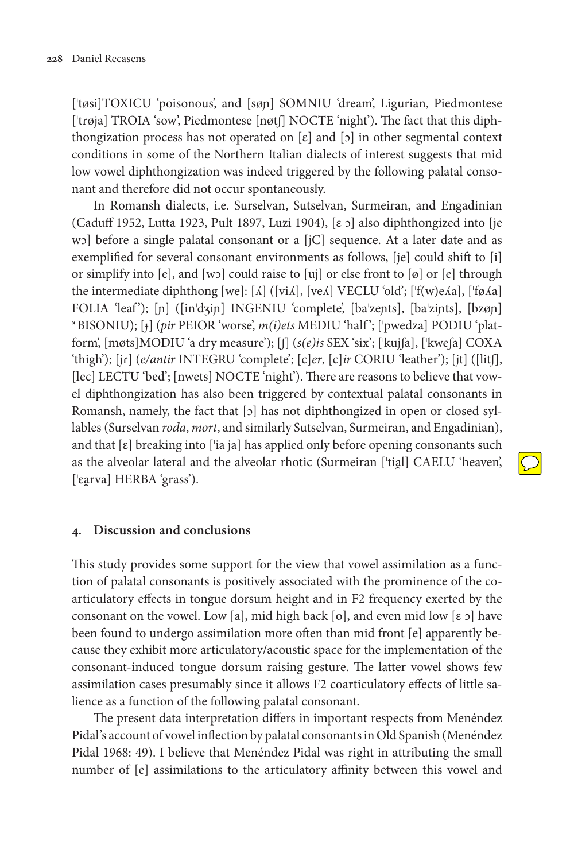['tøsi]TOXICU 'poisonous', and [søn] SOMNIU 'dream', Ligurian, Piedmontese ['trøja] TROIA 'sow', Piedmontese [nøt[] NOCTE 'night'). The fact that this diphthongization process has not operated on  $[\varepsilon]$  and  $[\infty]$  in other segmental context conditions in some of the Northern Italian dialects of interest suggests that mid low vowel diphthongization was indeed triggered by the following palatal consonant and therefore did not occur spontaneously.

In Romansh dialects, i.e. Surselvan, Sutselvan, Surmeiran, and Engadinian [\(Caduff 1952,](#page-33-13) [Lutta 1923,](#page-34-14) [Pult 1897,](#page-35-15) [Luzi 1904](#page-34-15)), [ɛ ɔ] also diphthongized into [je wɔ] before a single palatal consonant or a [jC] sequence. At a later date and as exemplified for several consonant environments as follows, [je] could shift to [i] or simplify into [e], and [wɔ] could raise to [uj] or else front to [ø] or [e] through the intermediate diphthong [we]: [ʎ] ([viʎ], [veʎ] VECLU 'old'; [ˈf(w)eʎa], [ˈføʎa] FOLIA 'leaf '); [ɲ] ([inˈdʒiɲ] INGENIU 'complete', [baˈzeɲts], [baˈziɲts], [bzøɲ] \*BISONIU); [ɟ] (*pir* PEIOR 'worse', *m(i)ets* MEDIU 'half '; [ˈpwedza] PODIU 'platform', [møts]MODIU 'a dry measure'); [ʃ] (*s(e)is* SEX 'six'; [ˈkujʃa], [ˈkweʃa] COXA 'thigh'); [jɾ] (*e/antir* INTEGRU 'complete'; [c]*er*, [c]*ir* CORIU 'leather'); [jt] ([litʃ], [lec] LECTU 'bed'; [nwets] NOCTE 'night'). There are reasons to believe that vowel diphthongization has also been triggered by contextual palatal consonants in Romansh, namely, the fact that [ɔ] has not diphthongized in open or closed syllables (Surselvan *roda*, *mort*, and similarly Sutselvan, Surmeiran, and Engadinian), and that  $[\varepsilon]$  breaking into ['ia ja] has applied only before opening consonants such as the alveolar lateral and the alveolar rhotic (Surmeiran [ˈtia̯l] CAELU 'heaven', ['ɛarva] HERBA 'grass').

#### <span id="page-27-0"></span>**4. Discussion and conclusions**

This study provides some support for the view that vowel assimilation as a function of palatal consonants is positively associated with the prominence of the coarticulatory effects in tongue dorsum height and in F2 frequency exerted by the consonant on the vowel. Low [a], mid high back [o], and even mid low [ $\varepsilon$   $\sigma$ ] have been found to undergo assimilation more often than mid front [e] apparently because they exhibit more articulatory/acoustic space for the implementation of the consonant-induced tongue dorsum raising gesture. The latter vowel shows few assimilation cases presumably since it allows F2 coarticulatory effects of little salience as a function of the following palatal consonant.

The present data interpretation differs in important respects from Menéndez Pidal's account of vowel inflection by palatal consonants in Old Spanish ([Menéndez](#page-35-3)  [Pidal 1968](#page-35-3): 49). I believe that Menéndez Pidal was right in attributing the small number of [e] assimilations to the articulatory affinity between this vowel and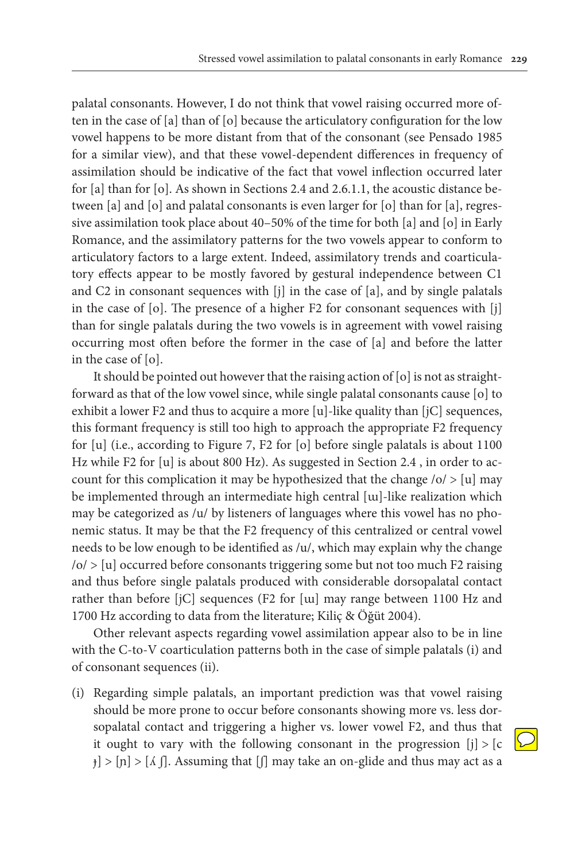palatal consonants. However, I do not think that vowel raising occurred more often in the case of [a] than of [o] because the articulatory configuration for the low vowel happens to be more distant from that of the consonant (see [Pensado 1985](#page-35-16)  for a similar view), and that these vowel-dependent differences in frequency of assimilation should be indicative of the fact that vowel inflection occurred later for [a] than for [o]. As shown in [Sections 2.4](#page-15-0) and [2.6.1.1,](#page-18-1) the acoustic distance between [a] and [o] and palatal consonants is even larger for [o] than for [a], regressive assimilation took place about 40–50% of the time for both [a] and [o] in Early Romance, and the assimilatory patterns for the two vowels appear to conform to articulatory factors to a large extent. Indeed, assimilatory trends and coarticulatory effects appear to be mostly favored by gestural independence between C1 and C2 in consonant sequences with [j] in the case of [a], and by single palatals in the case of [o]. The presence of a higher F2 for consonant sequences with [j] than for single palatals during the two vowels is in agreement with vowel raising occurring most often before the former in the case of [a] and before the latter in the case of [o].

It should be pointed out however that the raising action of [o] is not as straightforward as that of the low vowel since, while single palatal consonants cause [o] to exhibit a lower F2 and thus to acquire a more [u]-like quality than [jC] sequences, this formant frequency is still too high to approach the appropriate F2 frequency for [u] (i.e., according to [Figure 7](#page-25-1), F2 for [o] before single palatals is about 1100 Hz while F2 for [u] is about 800 Hz). As suggested in [Section 2.4](#page-15-0) , in order to account for this complication it may be hypothesized that the change /o/ > [u] may be implemented through an intermediate high central [ɯ]-like realization which may be categorized as /u/ by listeners of languages where this vowel has no phonemic status. It may be that the F2 frequency of this centralized or central vowel needs to be low enough to be identified as /u/, which may explain why the change /o/ > [u] occurred before consonants triggering some but not too much F2 raising and thus before single palatals produced with considerable dorsopalatal contact rather than before [jC] sequences (F2 for [ɯ] may range between 1100 Hz and 1700 Hz according to data from the literature; [Kiliç & Öğüt 2004\)](#page-34-16).

Other relevant aspects regarding vowel assimilation appear also to be in line with the C-to-V coarticulation patterns both in the case of simple palatals (i) and of consonant sequences (ii).

(i) Regarding simple palatals, an important prediction was that vowel raising should be more prone to occur before consonants showing more vs. less dorsopalatal contact and triggering a higher vs. lower vowel F2, and thus that it ought to vary with the following consonant in the progression  $[j]$  >  $[c]$  $_{\rm H}$  > [n] > [ $\Lambda$  []. Assuming that [[] may take an on-glide and thus may act as a

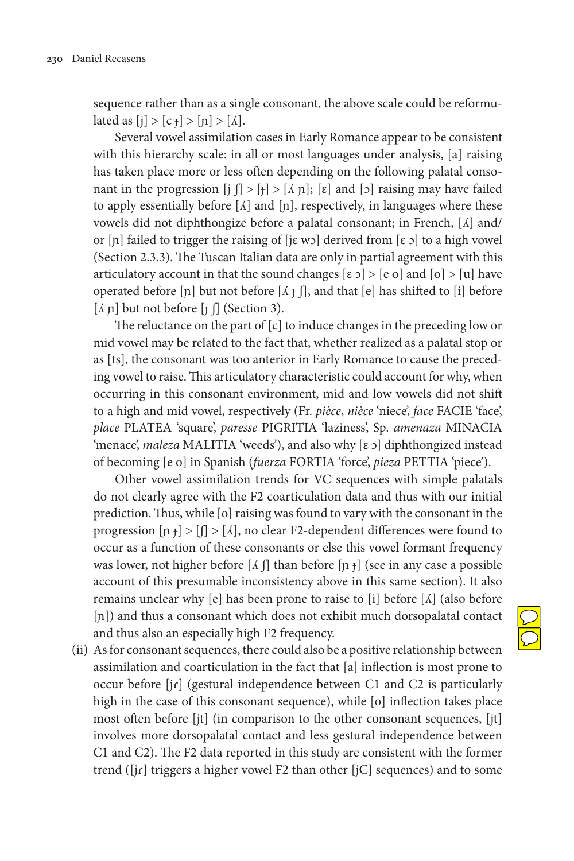sequence rather than as a single consonant, the above scale could be reformulated as  $[i] > [c +] > [n] > [\Lambda].$ 

 Several vowel assimilation cases in Early Romance appear to be consistent with this hierarchy scale: in all or most languages under analysis, [a] raising has taken place more or less often depending on the following palatal consonant in the progression  $[i] > [1] > [1]$   $[\kappa]$  and  $[\infty]$  raising may have failed to apply essentially before  $\lceil \Lambda \rceil$  and  $\lceil n \rceil$ , respectively, in languages where these vowels did not diphthongize before a palatal consonant; in French, [ʎ] and/ or [n] failed to trigger the raising of [jɛ wɔ] derived from [ɛ ɔ] to a high vowel [\(Section 2.3.3\)](#page-13-0). The Tuscan Italian data are only in partial agreement with this articulatory account in that the sound changes  $[\varepsilon \, \sigma] > [\varepsilon \, \sigma]$  and  $[\sigma] > [\mu]$  have operated before [n] but not before  $[\Lambda \uparrow \Pi]$ , and that [e] has shifted to [i] before  $[\Lambda \, \text{n}]$  but not before  $[\frac{\text{f}}{\text{f}}]$  (Section 3).

 The reluctance on the part of [c] to induce changes in the preceding low or mid vowel may be related to the fact that, whether realized as a palatal stop or as [ts], the consonant was too anterior in Early Romance to cause the preceding vowel to raise. This articulatory characteristic could account for why, when occurring in this consonant environment, mid and low vowels did not shift to a high and mid vowel, respectively (Fr. *pièce*, *nièce* 'niece', *face* FACIE 'face', *place* PLATEA 'square', *paresse* PIGRITIA 'laziness', Sp*. amenaza* MINACIA 'menace', *maleza* MALITIA 'weeds'), and also why [ɛ ɔ] diphthongized instead of becoming [e o] in Spanish (*fuerza* FORTIA 'force', *pieza* PETTIA 'piece').

 Other vowel assimilation trends for VC sequences with simple palatals do not clearly agree with the F2 coarticulation data and thus with our initial prediction. Thus, while [o] raising was found to vary with the consonant in the progression  $[n]$  >  $[$  $]$  >  $[$  $\Lambda$  $]$ , no clear F2-dependent differences were found to occur as a function of these consonants or else this vowel formant frequency was lower, not higher before  $\lceil \Delta \rceil$  than before  $\lceil n_f \rceil$  (see in any case a possible account of this presumable inconsistency above in this same section). It also remains unclear why [e] has been prone to raise to [i] before [ʎ] (also before [n]) and thus a consonant which does not exhibit much dorsopalatal contact and thus also an especially high F2 frequency.

(ii) As for consonant sequences, there could also be a positive relationship between assimilation and coarticulation in the fact that [a] inflection is most prone to occur before [jɾ] (gestural independence between C1 and C2 is particularly high in the case of this consonant sequence), while [o] inflection takes place most often before [jt] (in comparison to the other consonant sequences, [jt] involves more dorsopalatal contact and less gestural independence between C1 and C2). The F2 data reported in this study are consistent with the former trend ([jɾ] triggers a higher vowel F2 than other [jC] sequences) and to some

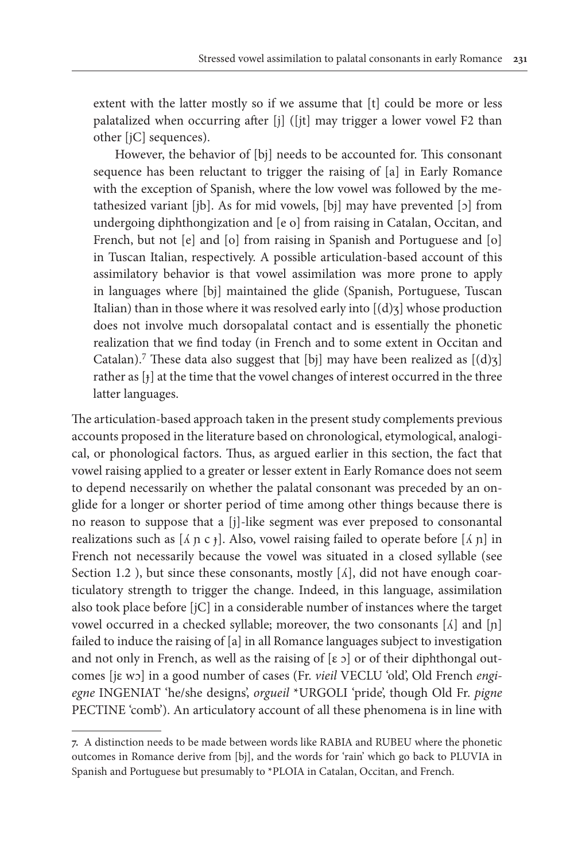extent with the latter mostly so if we assume that [t] could be more or less palatalized when occurring after [j] ([jt] may trigger a lower vowel F2 than other [jC] sequences).

 However, the behavior of [bj] needs to be accounted for. This consonant sequence has been reluctant to trigger the raising of [a] in Early Romance with the exception of Spanish, where the low vowel was followed by the metathesized variant [jb]. As for mid vowels, [bj] may have prevented [ɔ] from undergoing diphthongization and [e o] from raising in Catalan, Occitan, and French, but not [e] and [o] from raising in Spanish and Portuguese and [o] in Tuscan Italian, respectively. A possible articulation-based account of this assimilatory behavior is that vowel assimilation was more prone to apply in languages where [bj] maintained the glide (Spanish, Portuguese, Tuscan Italian) than in those where it was resolved early into  $[(d)z]$  whose production does not involve much dorsopalatal contact and is essentially the phonetic realization that we find today (in French and to some extent in Occitan and Catalan).<sup>7</sup> These data also suggest that [bj] may have been realized as  $[(d)z]$ rather as [+] at the time that the vowel changes of interest occurred in the three latter languages.

The articulation-based approach taken in the present study complements previous accounts proposed in the literature based on chronological, etymological, analogical, or phonological factors. Thus, as argued earlier in this section, the fact that vowel raising applied to a greater or lesser extent in Early Romance does not seem to depend necessarily on whether the palatal consonant was preceded by an onglide for a longer or shorter period of time among other things because there is no reason to suppose that a [j]-like segment was ever preposed to consonantal realizations such as  $[\Lambda \text{ p } c \text{ } t]$ . Also, vowel raising failed to operate before  $[\Lambda \text{ p}]$  in French not necessarily because the vowel was situated in a closed syllable (see [Section 1.2](#page-3-0) ), but since these consonants, mostly [ $\Lambda$ ], did not have enough coarticulatory strength to trigger the change. Indeed, in this language, assimilation also took place before [jC] in a considerable number of instances where the target vowel occurred in a checked syllable; moreover, the two consonants [ʎ] and [ɲ] failed to induce the raising of [a] in all Romance languages subject to investigation and not only in French, as well as the raising of  $[\varepsilon 5]$  or of their diphthongal outcomes [jɛ wɔ] in a good number of cases (Fr. *vieil* VECLU 'old', Old French *engiegne* INGENIAT 'he/she designs', *orgueil* \*URGOLI 'pride', though Old Fr. *pigne* PECTINE 'comb'). An articulatory account of all these phenomena is in line with

<span id="page-30-0"></span>**<sup>7.</sup>** A distinction needs to be made between words like RABIA and RUBEU where the phonetic outcomes in Romance derive from [bj], and the words for 'rain' which go back to PLUVIA in Spanish and Portuguese but presumably to \*PLOIA in Catalan, Occitan, and French.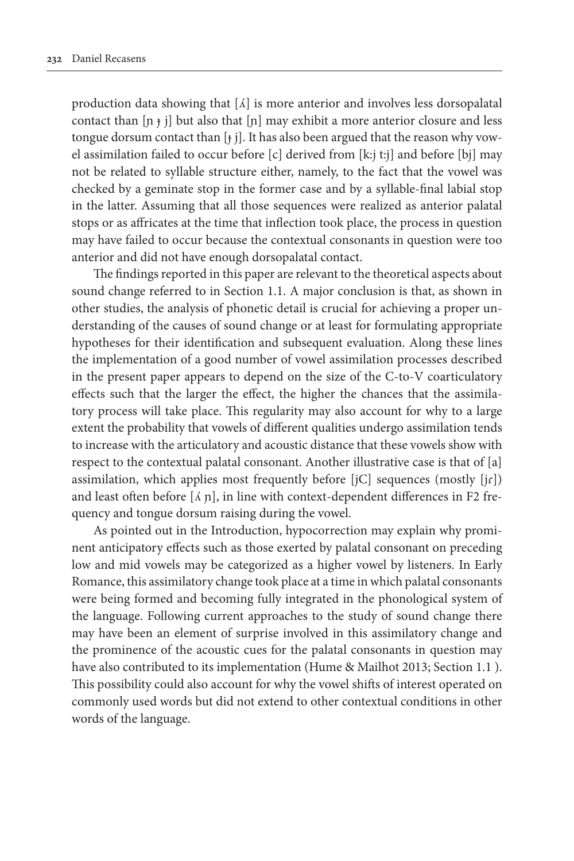production data showing that [ʎ] is more anterior and involves less dorsopalatal contact than  $[n + j]$  but also that  $[n]$  may exhibit a more anterior closure and less tongue dorsum contact than  $[i]$ . It has also been argued that the reason why vowel assimilation failed to occur before [c] derived from [k:j t:j] and before [bj] may not be related to syllable structure either, namely, to the fact that the vowel was checked by a geminate stop in the former case and by a syllable-final labial stop in the latter. Assuming that all those sequences were realized as anterior palatal stops or as affricates at the time that inflection took place, the process in question may have failed to occur because the contextual consonants in question were too anterior and did not have enough dorsopalatal contact.

The findings reported in this paper are relevant to the theoretical aspects about sound change referred to in [Section 1.1.](#page-2-0) A major conclusion is that, as shown in other studies, the analysis of phonetic detail is crucial for achieving a proper understanding of the causes of sound change or at least for formulating appropriate hypotheses for their identification and subsequent evaluation. Along these lines the implementation of a good number of vowel assimilation processes described in the present paper appears to depend on the size of the C-to-V coarticulatory effects such that the larger the effect, the higher the chances that the assimilatory process will take place. This regularity may also account for why to a large extent the probability that vowels of different qualities undergo assimilation tends to increase with the articulatory and acoustic distance that these vowels show with respect to the contextual palatal consonant. Another illustrative case is that of [a] assimilation, which applies most frequently before [jC] sequences (mostly [jɾ]) and least often before  $[\Lambda \; \eta]$ , in line with context-dependent differences in F2 frequency and tongue dorsum raising during the vowel.

As pointed out in the Introduction, hypocorrection may explain why prominent anticipatory effects such as those exerted by palatal consonant on preceding low and mid vowels may be categorized as a higher vowel by listeners. In Early Romance, this assimilatory change took place at a time in which palatal consonants were being formed and becoming fully integrated in the phonological system of the language. Following current approaches to the study of sound change there may have been an element of surprise involved in this assimilatory change and the prominence of the acoustic cues for the palatal consonants in question may have also contributed to its implementation [\(Hume & Mailhot 2013;](#page-34-5) [Section 1.1](#page-2-0) ). This possibility could also account for why the vowel shifts of interest operated on commonly used words but did not extend to other contextual conditions in other words of the language.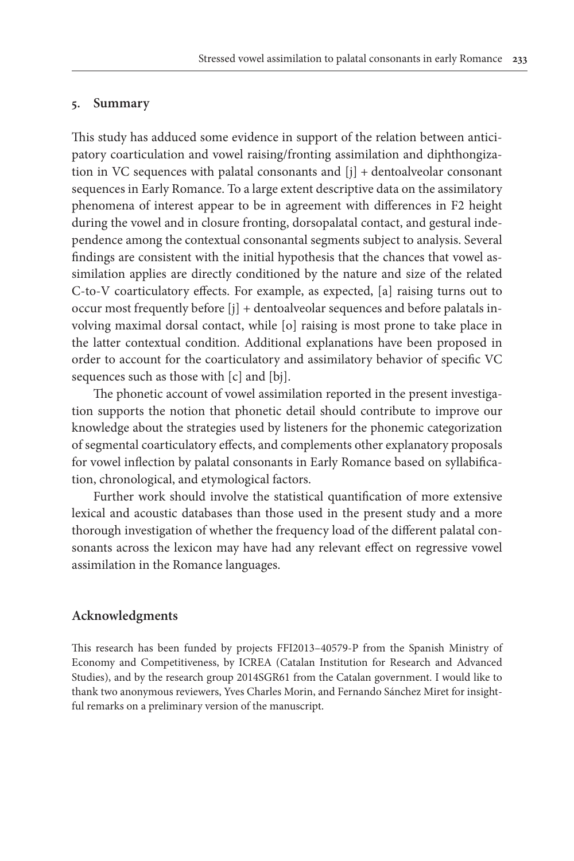### **5. Summary**

This study has adduced some evidence in support of the relation between anticipatory coarticulation and vowel raising/fronting assimilation and diphthongization in VC sequences with palatal consonants and [j] + dentoalveolar consonant sequences in Early Romance. To a large extent descriptive data on the assimilatory phenomena of interest appear to be in agreement with differences in F2 height during the vowel and in closure fronting, dorsopalatal contact, and gestural independence among the contextual consonantal segments subject to analysis. Several findings are consistent with the initial hypothesis that the chances that vowel assimilation applies are directly conditioned by the nature and size of the related C-to-V coarticulatory effects. For example, as expected, [a] raising turns out to occur most frequently before [j] + dentoalveolar sequences and before palatals involving maximal dorsal contact, while [o] raising is most prone to take place in the latter contextual condition. Additional explanations have been proposed in order to account for the coarticulatory and assimilatory behavior of specific VC sequences such as those with [c] and [bj].

The phonetic account of vowel assimilation reported in the present investigation supports the notion that phonetic detail should contribute to improve our knowledge about the strategies used by listeners for the phonemic categorization of segmental coarticulatory effects, and complements other explanatory proposals for vowel inflection by palatal consonants in Early Romance based on syllabification, chronological, and etymological factors.

Further work should involve the statistical quantification of more extensive lexical and acoustic databases than those used in the present study and a more thorough investigation of whether the frequency load of the different palatal consonants across the lexicon may have had any relevant effect on regressive vowel assimilation in the Romance languages.

#### **Acknowledgments**

This research has been funded by projects FFI2013–40579-P from the Spanish Ministry of Economy and Competitiveness, by ICREA (Catalan Institution for Research and Advanced Studies), and by the research group 2014SGR61 from the Catalan government. I would like to thank two anonymous reviewers, Yves Charles Morin, and Fernando Sánchez Miret for insightful remarks on a preliminary version of the manuscript.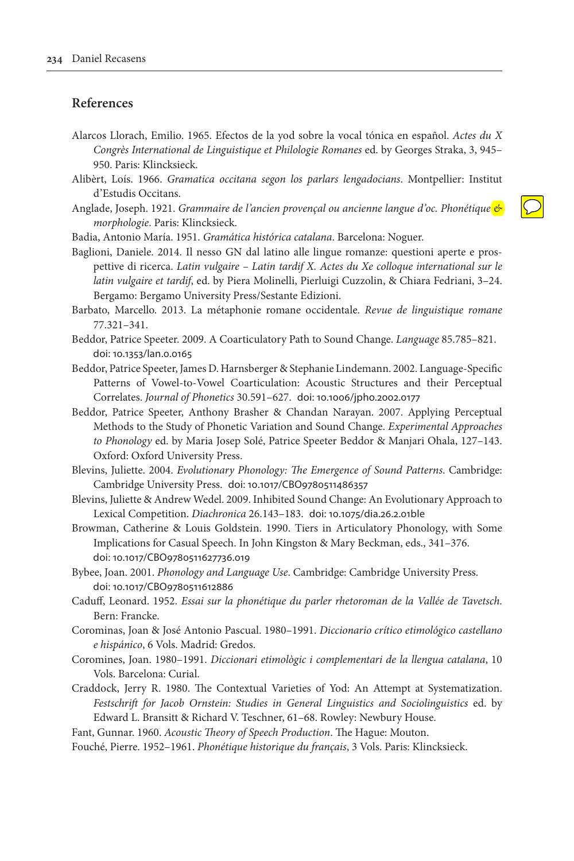### **References**

- <span id="page-33-6"></span>Alarcos Llorach, Emilio. 1965. Efectos de la yod sobre la vocal tónica en español. *Actes du X Congrès International de Linguistique et Philologie Romanes* ed. by Georges Straka, 3, 945– 950. Paris: Klincksieck.
- <span id="page-33-16"></span>Alibèrt, Loís. 1966. *Gramatica occitana segon los parlars lengadocians*. Montpellier: Institut d'Estudis Occitans.
- <span id="page-33-17"></span>Anglade, Joseph. 1921. *Grammaire de l'ancien provençal ou ancienne langue d'oc. Phonétique & morphologie*. Paris: Klincksieck.
- <span id="page-33-15"></span>Badia, Antonio María. 1951. *Gramática histórica catalana*. Barcelona: Noguer.
- <span id="page-33-10"></span>Baglioni, Daniele. 2014. Il nesso GN dal latino alle lingue romanze: questioni aperte e prospettive di ricerca. *Latin vulgaire – Latin tardif X. Actes du Xe colloque international sur le latin vulgaire et tardif*, ed. by Piera Molinelli, Pierluigi Cuzzolin, & Chiara Fedriani, 3–24. Bergamo: Bergamo University Press/Sestante Edizioni.
- <span id="page-33-7"></span>Barbato, Marcello. 2013. La métaphonie romane occidentale. *Revue de linguistique romane* 77.321–341.
- <span id="page-33-3"></span>Beddor, Patrice Speeter. 2009. A Coarticulatory Path to Sound Change. *Language* 85.785–821. doi: [10.1353/lan.0.0165](https://doi.org/10.1353/lan.0.0165)
- <span id="page-33-1"></span>Beddor, Patrice Speeter, James D. Harnsberger & Stephanie Lindemann. 2002. Language-Specific Patterns of Vowel-to-Vowel Coarticulation: Acoustic Structures and their Perceptual Correlates. *Journal of Phonetics* 30.591–627. doi: [10.1006/jpho.2002.0177](https://doi.org/10.1006/jpho.2002.0177)
- <span id="page-33-2"></span>Beddor, Patrice Speeter, Anthony Brasher & Chandan Narayan. 2007. Applying Perceptual Methods to the Study of Phonetic Variation and Sound Change. *Experimental Approaches to Phonology* ed. by Maria Josep Solé, Patrice Speeter Beddor & Manjari Ohala, 127–143. Oxford: Oxford University Press.
- <span id="page-33-0"></span>Blevins, Juliette. 2004. *Evolutionary Phonology: The Emergence of Sound Patterns*. Cambridge: Cambridge University Press. doi: [10.1017/CBO9780511486357](https://doi.org/10.1017/CBO9780511486357)
- <span id="page-33-4"></span>Blevins, Juliette & Andrew Wedel. 2009. Inhibited Sound Change: An Evolutionary Approach to Lexical Competition. *Diachronica* 26.143–183. doi: [10.1075/dia.26.2.01ble](https://doi.org/10.1075/dia.26.2.01ble)
- <span id="page-33-9"></span>Browman, Catherine & Louis Goldstein. 1990. Tiers in Articulatory Phonology, with Some Implications for Casual Speech. In John Kingston & Mary Beckman, eds., 341–376. doi: [10.1017/CBO9780511627736.019](https://doi.org/10.1017/CBO9780511627736.019)
- <span id="page-33-5"></span>Bybee, Joan. 2001. *Phonology and Language Use*. Cambridge: Cambridge University Press. doi: [10.1017/CBO9780511612886](https://doi.org/10.1017/CBO9780511612886)
- <span id="page-33-13"></span>Caduff, Leonard. 1952. *Essai sur la phonétique du parler rhetoroman de la Vallée de Tavetsch*. Bern: Francke.
- <span id="page-33-14"></span>Corominas, Joan & José Antonio Pascual. 1980–1991. *Diccionario crítico etimológico castellano e hispánico*, 6 Vols. Madrid: Gredos.
- Coromines, Joan. 1980–1991. *Diccionari etimològic i complementari de la llengua catalana*, 10 Vols. Barcelona: Curial.
- <span id="page-33-11"></span>Craddock, Jerry R. 1980. The Contextual Varieties of Yod: An Attempt at Systematization. *Festschrift for Jacob Ornstein: Studies in General Linguistics and Sociolinguistics* ed. by Edward L. Bransitt & Richard V. Teschner, 61–68. Rowley: Newbury House.
- <span id="page-33-12"></span>Fant, Gunnar. 1960. *Acoustic Theory of Speech Production*. The Hague: Mouton.
- <span id="page-33-8"></span>Fouché, Pierre. 1952–1961. *Phonétique historique du français*, 3 Vols. Paris: Klincksieck.

 $\bigcirc$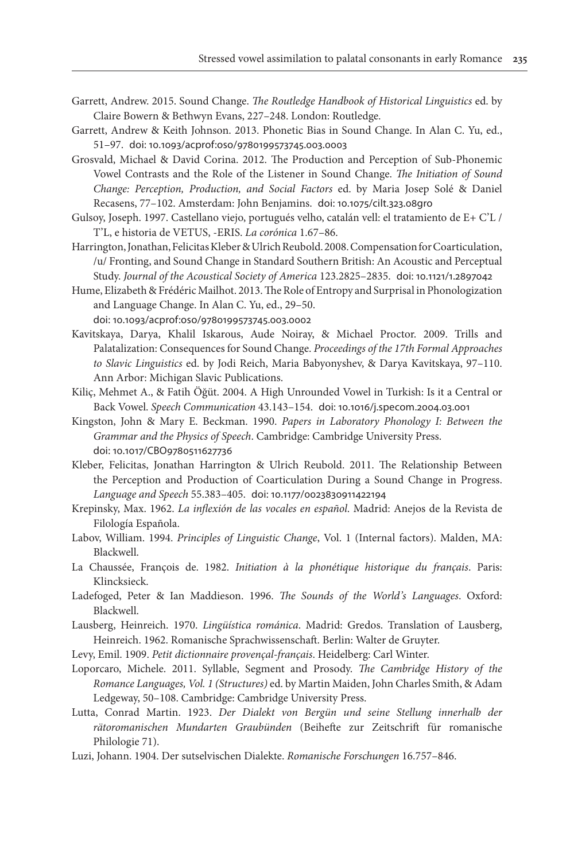- <span id="page-34-6"></span>Garrett, Andrew. 2015. Sound Change. *The Routledge Handbook of Historical Linguistics* ed. by Claire Bowern & Bethwyn Evans, 227–248. London: Routledge.
- <span id="page-34-0"></span>Garrett, Andrew & Keith Johnson. 2013. Phonetic Bias in Sound Change. In Alan C. Yu, ed., 51–97. doi: [10.1093/acprof:oso/9780199573745.003.0003](https://doi.org/10.1093/acprof:oso/9780199573745.003.0003)
- <span id="page-34-4"></span>Grosvald, Michael & David Corina. 2012. The Production and Perception of Sub-Phonemic Vowel Contrasts and the Role of the Listener in Sound Change. *The Initiation of Sound Change: Perception, Production, and Social Factors* ed. by Maria Josep Solé & Daniel Recasens, 77–102. Amsterdam: John Benjamins. doi: [10.1075/cilt.323.08gro](https://doi.org/10.1075/cilt.323.08gro)
- <span id="page-34-13"></span>Gulsoy, Joseph. 1997. Castellano viejo, portugués velho, catalán vell: el tratamiento de E+ C'L / T'L, e historia de VETUS, -ERIS. *La corónica* 1.67–86.
- <span id="page-34-2"></span>Harrington, Jonathan, Felicitas Kleber & Ulrich Reubold. 2008. Compensation for Coarticulation, /u/ Fronting, and Sound Change in Standard Southern British: An Acoustic and Perceptual Study. *Journal of the Acoustical Society of America* 123.2825–2835. doi: [10.1121/1.2897042](https://doi.org/10.1121/1.2897042)
- <span id="page-34-5"></span>Hume, Elizabeth & Frédéric Mailhot. 2013. The Role of Entropy and Surprisal in Phonologization and Language Change. In Alan C. Yu, ed., 29–50.

doi: [10.1093/acprof:oso/9780199573745.003.0002](https://doi.org/10.1093/acprof:oso/9780199573745.003.0002)

- <span id="page-34-11"></span>Kavitskaya, Darya, Khalil Iskarous, Aude Noiray, & Michael Proctor. 2009. Trills and Palatalization: Consequences for Sound Change. *Proceedings of the 17th Formal Approaches to Slavic Linguistics* ed. by Jodi Reich, Maria Babyonyshev, & Darya Kavitskaya, 97–110. Ann Arbor: Michigan Slavic Publications.
- <span id="page-34-16"></span>Kiliç, Mehmet A., & Fatih Öğüt. 2004. A High Unrounded Vowel in Turkish: Is it a Central or Back Vowel. *Speech Communication* 43.143–154. doi: [10.1016/j.specom.2004.03.001](https://doi.org/10.1016/j.specom.2004.03.001)
- Kingston, John & Mary E. Beckman. 1990. *Papers in Laboratory Phonology I: Between the Grammar and the Physics of Speech*. Cambridge: Cambridge University Press. doi: [10.1017/CBO9780511627736](https://doi.org/10.1017/CBO9780511627736)
- <span id="page-34-3"></span>Kleber, Felicitas, Jonathan Harrington & Ulrich Reubold. 2011. The Relationship Between the Perception and Production of Coarticulation During a Sound Change in Progress. *Language and Speech* 55.383–405. doi: [10.1177/0023830911422194](https://doi.org/10.1177/0023830911422194)
- <span id="page-34-12"></span>Krepinsky, Max. 1962. *La inflexión de las vocales en español*. Madrid: Anejos de la Revista de Filología Española.
- <span id="page-34-1"></span>Labov, William. 1994. *Principles of Linguistic Change*, Vol. 1 (Internal factors). Malden, MA: Blackwell.
- <span id="page-34-7"></span>La Chaussée, François de. 1982. *Initiation à la phonétique historique du français*. Paris: Klincksieck.
- <span id="page-34-10"></span>Ladefoged, Peter & Ian Maddieson. 1996. *The Sounds of the World's Languages*. Oxford: Blackwell.
- <span id="page-34-9"></span>Lausberg, Heinreich. 1970. *Lingüística románica*. Madrid: Gredos. Translation of Lausberg, Heinreich. 1962. Romanische Sprachwissenschaft. Berlin: Walter de Gruyter.
- <span id="page-34-17"></span>Levy, Emil. 1909. *Petit dictionnaire provençal-français*. Heidelberg: Carl Winter.
- <span id="page-34-8"></span>Loporcaro, Michele. 2011. Syllable, Segment and Prosody. *The Cambridge History of the Romance Languages, Vol. 1 (Structures)* ed. by Martin Maiden, John Charles Smith, & Adam Ledgeway, 50–108. Cambridge: Cambridge University Press.
- <span id="page-34-14"></span>Lutta, Conrad Martin. 1923. *Der Dialekt von Bergün und seine Stellung innerhalb der rätoromanischen Mundarten Graubünden* (Beihefte zur Zeitschrift für romanische Philologie 71).
- <span id="page-34-15"></span>Luzi, Johann. 1904. Der sutselvischen Dialekte. *Romanische Forschungen* 16.757–846.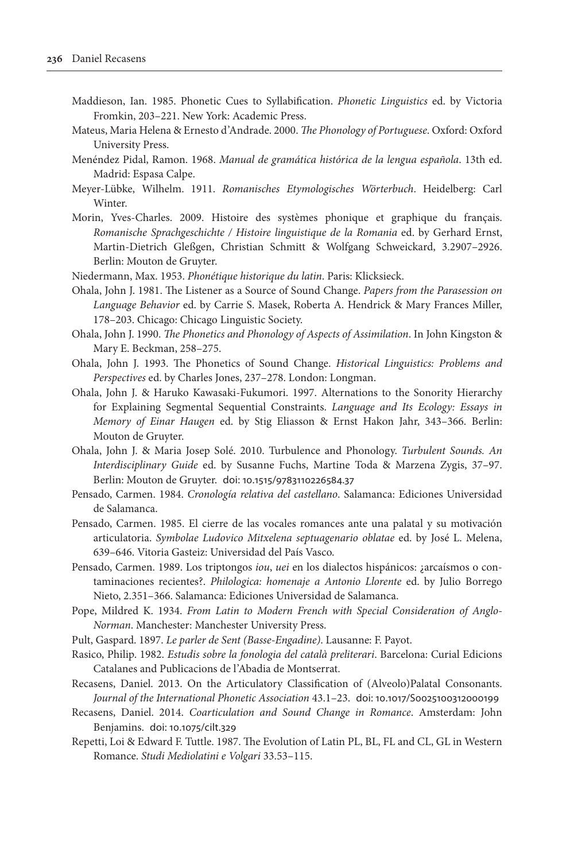- <span id="page-35-5"></span>Maddieson, Ian. 1985. Phonetic Cues to Syllabification. *Phonetic Linguistics* ed. by Victoria Fromkin, 203–221. New York: Academic Press.
- <span id="page-35-17"></span>Mateus, Maria Helena & Ernesto d'Andrade. 2000. *The Phonology of Portuguese*. Oxford: Oxford University Press.
- <span id="page-35-3"></span>Menéndez Pidal, Ramon. 1968. *Manual de gramática histórica de la lengua española*. 13th ed. Madrid: Espasa Calpe.
- <span id="page-35-18"></span>Meyer-Lübke, Wilhelm. 1911. *Romanisches Etymologisches Wörterbuch*. Heidelberg: Carl Winter.
- <span id="page-35-12"></span>Morin, Yves-Charles. 2009. Histoire des systèmes phonique et graphique du français. *Romanische Sprachgeschichte / Histoire linguistique de la Romania* ed. by Gerhard Ernst, Martin-Dietrich Gleßgen, Christian Schmitt & Wolfgang Schweickard, 3.2907–2926. Berlin: Mouton de Gruyter.
- <span id="page-35-8"></span>Niedermann, Max. 1953. *Phonétique historique du latin*. Paris: Klicksieck.
- <span id="page-35-0"></span>Ohala, John J. 1981. The Listener as a Source of Sound Change. *Papers from the Parasession on Language Behavior* ed. by Carrie S. Masek, Roberta A. Hendrick & Mary Frances Miller, 178–203. Chicago: Chicago Linguistic Society.
- <span id="page-35-1"></span>Ohala, John J. 1990. *The Phonetics and Phonology of Aspects of Assimilation*. In John Kingston & Mary E. Beckman, 258–275.
- <span id="page-35-2"></span>Ohala, John J. 1993. The Phonetics of Sound Change. *Historical Linguistics: Problems and Perspectives* ed. by Charles Jones, 237–278. London: Longman.
- <span id="page-35-6"></span>Ohala, John J. & Haruko Kawasaki-Fukumori. 1997. Alternations to the Sonority Hierarchy for Explaining Segmental Sequential Constraints. *Language and Its Ecology: Essays in Memory of Einar Haugen* ed. by Stig Eliasson & Ernst Hakon Jahr, 343–366. Berlin: Mouton de Gruyter.
- <span id="page-35-4"></span>Ohala, John J. & Maria Josep Solé. 2010. Turbulence and Phonology. *Turbulent Sounds. An Interdisciplinary Guide* ed. by Susanne Fuchs, Martine Toda & Marzena Zygis, 37–97. Berlin: Mouton de Gruyter. doi: [10.1515/9783110226584.37](https://doi.org/10.1515/9783110226584.37)
- <span id="page-35-13"></span>Pensado, Carmen. 1984. *Cronología relativa del castellano*. Salamanca: Ediciones Universidad de Salamanca.
- <span id="page-35-16"></span>Pensado, Carmen. 1985. El cierre de las vocales romances ante una palatal y su motivación articulatoria. *Symbolae Ludovico Mitxelena septuagenario oblatae* ed. by José L. Melena, 639–646. Vitoria Gasteiz: Universidad del País Vasco.
- <span id="page-35-11"></span>Pensado, Carmen. 1989. Los triptongos *iou*, *uei* en los dialectos hispánicos: ¿arcaísmos o contaminaciones recientes?. *Philologica: homenaje a Antonio Llorente* ed. by Julio Borrego Nieto, 2.351–366. Salamanca: Ediciones Universidad de Salamanca.
- <span id="page-35-19"></span>Pope, Mildred K. 1934. *From Latin to Modern French with Special Consideration of Anglo-Norman*. Manchester: Manchester University Press.
- <span id="page-35-15"></span>Pult, Gaspard. 1897. *Le parler de Sent (Basse-Engadine)*. Lausanne: F. Payot.
- <span id="page-35-14"></span>Rasico, Philip. 1982. *Estudis sobre la fonologia del català preliterari*. Barcelona: Curial Edicions Catalanes and Publicacions de l'Abadia de Montserrat.
- <span id="page-35-7"></span>Recasens, Daniel. 2013. On the Articulatory Classification of (Alveolo)Palatal Consonants. *Journal of the International Phonetic Association* 43.1–23. doi: [10.1017/S0025100312000199](https://doi.org/10.1017/S0025100312000199)
- <span id="page-35-10"></span>Recasens, Daniel. 2014. *Coarticulation and Sound Change in Romance*. Amsterdam: John Benjamins. doi: [10.1075/cilt.329](https://doi.org/10.1075/cilt.329)
- <span id="page-35-9"></span>Repetti, Loi & Edward F. Tuttle. 1987. The Evolution of Latin PL, BL, FL and CL, GL in Western Romance. *Studi Mediolatini e Volgari* 33.53–115.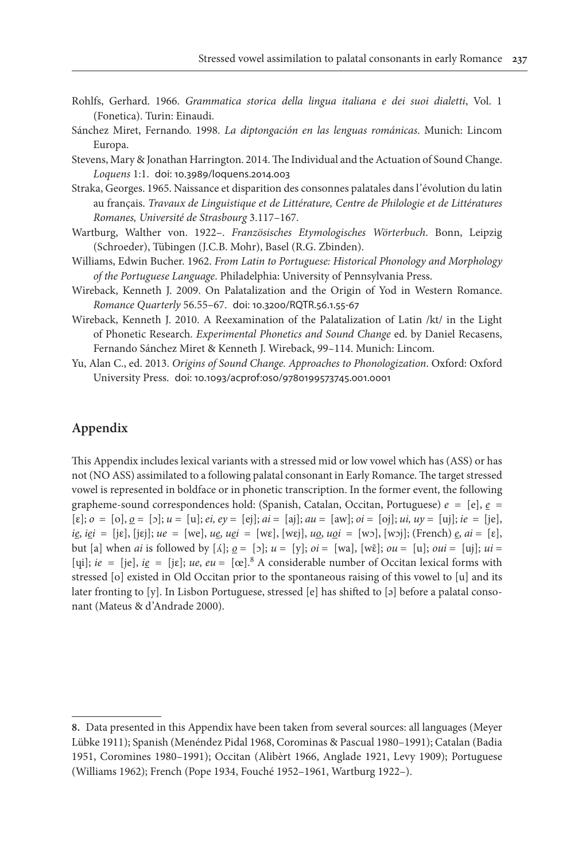- <span id="page-36-5"></span>Rohlfs, Gerhard. 1966. *Grammatica storica della lingua italiana e dei suoi dialetti*, Vol. 1 (Fonetica). Turin: Einaudi.
- <span id="page-36-4"></span>Sánchez Miret, Fernando. 1998. *La diptongación en las lenguas románicas*. Munich: Lincom Europa.
- <span id="page-36-0"></span>Stevens, Mary & Jonathan Harrington. 2014. The Individual and the Actuation of Sound Change. *Loquens* 1:1. doi: [10.3989/loquens.2014.003](https://doi.org/10.3989/loquens.2014.003)
- <span id="page-36-1"></span>Straka, Georges. 1965. Naissance et disparition des consonnes palatales dans l'évolution du latin au français. *Travaux de Linguistique et de Littérature, Centre de Philologie et de Littératures Romanes, Université de Strasbourg* 3.117–167.
- <span id="page-36-8"></span>Wartburg, Walther von. 1922–. *Französisches Etymologisches Wörterbuch*. Bonn, Leipzig (Schroeder), Tübingen (J.C.B. Mohr), Basel (R.G. Zbinden).
- <span id="page-36-7"></span>Williams, Edwin Bucher. 1962. *From Latin to Portuguese: Historical Phonology and Morphology of the Portuguese Language*. Philadelphia: University of Pennsylvania Press.
- <span id="page-36-2"></span>Wireback, Kenneth J. 2009. On Palatalization and the Origin of Yod in Western Romance. *Romance Quarterly* 56.55–67. doi: [10.3200/RQTR.56.1.55-67](https://doi.org/10.3200/RQTR.56.1.55-67)
- <span id="page-36-3"></span>Wireback, Kenneth J. 2010. A Reexamination of the Palatalization of Latin /kt/ in the Light of Phonetic Research. *Experimental Phonetics and Sound Change* ed. by Daniel Recasens, Fernando Sánchez Miret & Kenneth J. Wireback, 99–114. Munich: Lincom.
- Yu, Alan C., ed. 2013. *Origins of Sound Change. Approaches to Phonologization*. Oxford: Oxford University Press. doi: [10.1093/acprof:oso/9780199573745.001.0001](https://doi.org/10.1093/acprof:oso/9780199573745.001.0001)

#### **Appendix**

This Appendix includes lexical variants with a stressed mid or low vowel which has (ASS) or has not (NO ASS) assimilated to a following palatal consonant in Early Romance. The target stressed vowel is represented in boldface or in phonetic transcription. In the former event, the following grapheme-sound correspondences hold: (Spanish, Catalan, Occitan, Portuguese) *e* = [e], *e* =  $[\varepsilon]; \, o = [o], \, \underline{o} = [o]; \, u = [u]; \, ei, \, ey = [ei]; \, ai = [ai]; \, au = [aw]; \, oli = [oi]; \, ui, \, uy = [ui]; \, ie = [ie],$ *ie*, *iei* = [jɛ], [jɛj]; *ue* = [we], *ue*, *uei* = [wɛ], [wɛj], *uo*, *uoi* = [wɔ], [wɔj]; (French) *e*, *ai* = [ɛ], but [a] when *ai* is followed by  $[\Lambda]$ ;  $\underline{o} = [5]$ ;  $u = [y]$ ;  $oi = [wa]$ ,  $[w\tilde{\varepsilon}]$ ;  $ou = [u]$ ;  $ui = [ui]$ ;  $ui =$ [ɥi]; *ie* = [je], *ie* = [jɛ]; *ue*, *eu* = [œ].[8](#page-36-6) A considerable number of Occitan lexical forms with stressed [o] existed in Old Occitan prior to the spontaneous raising of this vowel to [u] and its later fronting to [y]. In Lisbon Portuguese, stressed [e] has shifted to [ə] before a palatal consonant [\(Mateus & d'Andrade 2000](#page-35-17)).

<span id="page-36-6"></span>**<sup>8.</sup>** Data presented in this Appendix have been taken from several sources: all languages ([Meyer](#page-35-18)  [Lübke 1911\)](#page-35-18); Spanish ([Menéndez Pidal 1968,](#page-35-3) [Corominas & Pascual 1980–1991\)](#page-33-14); Catalan [\(Badia](#page-33-15)  [1951](#page-33-15)[, Coromines 1980–1991\)](#page-33-14); Occitan [\(Alibèrt 1966](#page-33-16), [Anglade 1921,](#page-33-17) [Levy 1909](#page-34-17)); Portuguese ([Williams 1962](#page-36-7)); French ([Pope 1934](#page-35-19), [Fouché 1952–1961,](#page-33-8) [Wartburg 1922–](#page-36-8)).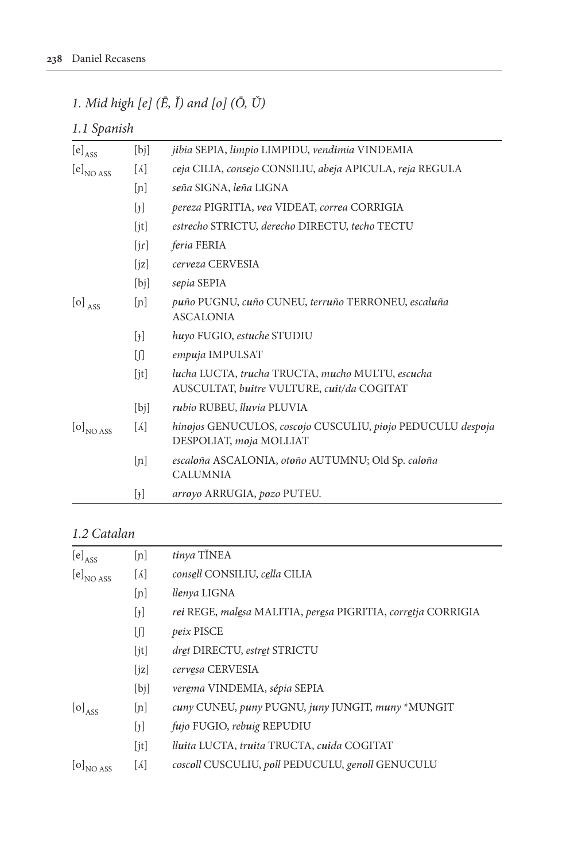*1. Mid high [e] (Ē, Ĭ) and [o] (Ō, Uˇ)*

# *1.1 Spanish*

| $[e]_{ASS}$                      | [bj]         | jibia SEPIA, limpio LIMPIDU, vendimia VINDEMIA                                                 |
|----------------------------------|--------------|------------------------------------------------------------------------------------------------|
| $[e]_{NO \text{ ASS}}$           | $[\Lambda]$  | ceja CILIA, consejo CONSILIU, abeja APICULA, reja REGULA                                       |
|                                  | [n]          | seña SIGNA, leña LIGNA                                                                         |
|                                  | $[+]$        | pereza PIGRITIA, vea VIDEAT, correa CORRIGIA                                                   |
|                                  | [jt]         | estrecho STRICTU, derecho DIRECTU, techo TECTU                                                 |
|                                  | [jr]         | feria FERIA                                                                                    |
|                                  | [jz]         | cerveza CERVESIA                                                                               |
|                                  | [bj]         | sepia SEPIA                                                                                    |
| $[o]$ <sub>ASS</sub>             | $[n]$        | puño PUGNU, cuño CUNEU, terruño TERRONEU, escaluña<br><b>ASCALONIA</b>                         |
|                                  | $[+]$        | huyo FUGIO, estuche STUDIU                                                                     |
|                                  | [ſ]          | empuja IMPULSAT                                                                                |
|                                  | $[{\rm it}]$ | lucha LUCTA, trucha TRUCTA, mucho MULTU, escucha<br>AUSCULTAT, buitre VULTURE, cuit/da COGITAT |
|                                  | [bj]         | rubio RUBEU, lluvia PLUVIA                                                                     |
| $\left[0\right]_{\text{NO ASS}}$ | $[\Lambda]$  | hinojos GENUCULOS, coscojo CUSCULIU, piojo PEDUCULU despoja<br>DESPOLIAT, moja MOLLIAT         |
|                                  | $[n]$        | escaloña ASCALONIA, otoño AUTUMNU; Old Sp. caloña<br><b>CALUMNIA</b>                           |
|                                  | $[+]$        | arroyo ARRUGIA, pozo PUTEU.                                                                    |

# *1.2 Catalan*

| $[e]$ <sub>ASS</sub>                         | [n]                     | tinya TĬNEA                                                  |
|----------------------------------------------|-------------------------|--------------------------------------------------------------|
| $[e]_{NO \text{ ASS}}$                       | $\lceil \Lambda \rceil$ | consell CONSILIU, cella CILIA                                |
|                                              | [n]                     | llenya LIGNA                                                 |
|                                              | $[+]$                   | rei REGE, malesa MALITIA, peresa PIGRITIA, corretja CORRIGIA |
|                                              | M                       | peix PISCE                                                   |
|                                              | $[$ jt]                 | dret DIRECTU, estret STRICTU                                 |
|                                              | [jz]                    | cervesa CERVESIA                                             |
|                                              | [b]                     | verema VINDEMIA, sépia SEPIA                                 |
| $\left[\text{o}\right]_{\text{ASS}}$         | [n]                     | cuny CUNEU, puny PUGNU, juny JUNGIT, muny *MUNGIT            |
|                                              | $[+]$                   | fujo FUGIO, rebuig REPUDIU                                   |
|                                              | [jt]                    | lluita LUCTA, truita TRUCTA, cuida COGITAT                   |
| $\left[\mathrm{o}\right]_\mathrm{NO \, ASS}$ | $[\Lambda]$             | coscoll CUSCULIU, poll PEDUCULU, genoll GENUCULU             |

 $\overline{\phantom{0}}$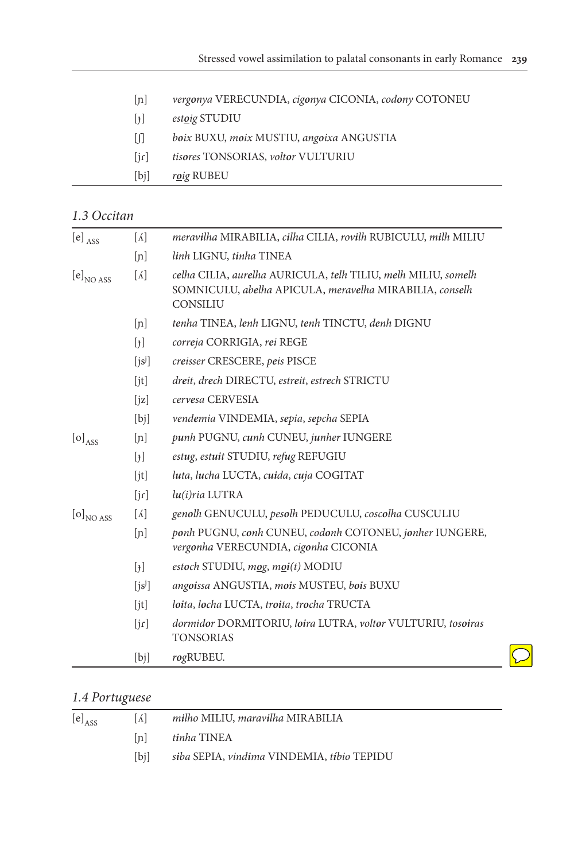| [n]   | vergonya VERECUNDIA, cigonya CICONIA, codony COTONEU |
|-------|------------------------------------------------------|
| $ + $ | $estqg$ STUDIU                                       |
| Ш     | boix BUXU, moix MUSTIU, angoixa ANGUSTIA             |
| [i]   | tisores TONSORIAS, voltor VULTURIU                   |
| [b]   | roig RUBEU                                           |

# *1.3 Occitan*

| $[e]$ <sub>ASS</sub>    | $[\Lambda]$             | meravilha MIRABILIA, cilha CILIA, rovilh RUBICULU, milh MILIU                                                                               |
|-------------------------|-------------------------|---------------------------------------------------------------------------------------------------------------------------------------------|
|                         | [n]                     | linh LIGNU, tinha TINEA                                                                                                                     |
| $[e]_{NO \text{ ASS}}$  | $\lceil \Lambda \rceil$ | celha CILIA, aurelha AURICULA, telh TILIU, melh MILIU, somelh<br>SOMNICULU, abelha APICULA, meravelha MIRABILIA, conselh<br><b>CONSILIU</b> |
|                         | [n]                     | tenha TINEA, lenh LIGNU, tenh TINCTU, denh DIGNU                                                                                            |
|                         | $[+]$                   | correja CORRIGIA, rei REGE                                                                                                                  |
|                         | $[{\rm j} s^{\rm j}]$   | creisser CRESCERE, peis PISCE                                                                                                               |
|                         | [it]                    | dreit, drech DIRECTU, estreit, estrech STRICTU                                                                                              |
|                         | [iz]                    | cervesa CERVESIA                                                                                                                            |
|                         | [b]                     | vendemia VINDEMIA, sepia, sepcha SEPIA                                                                                                      |
| $[o]$ <sub>ASS</sub>    | [n]                     | punh PUGNU, cunh CUNEU, junher IUNGERE                                                                                                      |
|                         | $[+]$                   | estug, estuit STUDIU, refug REFUGIU                                                                                                         |
|                         | [jt]                    | luta, lucha LUCTA, cuida, cuja COGITAT                                                                                                      |
|                         | [if]                    | $lu(i)$ ria LUTRA                                                                                                                           |
| $[o]$ <sub>NO ASS</sub> | $\lceil \Lambda \rceil$ | genolh GENUCULU, pesolh PEDUCULU, coscolha CUSCULIU                                                                                         |
|                         | [n]                     | ponh PUGNU, conh CUNEU, codonh COTONEU, jonher IUNGERE,<br>vergonha VERECUNDIA, cigonha CICONIA                                             |
|                         | $[+]$                   | estoch STUDIU, $m\underline{o}g$ , $m\underline{o}i(t)$ MODIU                                                                               |
|                         | $[{\rm j} s^{\rm j}]$   | angoissa ANGUSTIA, mois MUSTEU, bois BUXU                                                                                                   |
|                         | [it]                    | loita, locha LUCTA, troita, trocha TRUCTA                                                                                                   |
|                         | [if]                    | dormidor DORMITORIU, loira LUTRA, voltor VULTURIU, tosoiras<br><b>TONSORIAS</b>                                                             |
|                         | [b]                     | rogRUBEU.                                                                                                                                   |

# *1.4 Portuguese*

| $[e]_{\text{ASS}}$ | I Á L | milho MILIU, maravilha MIRABILIA           |
|--------------------|-------|--------------------------------------------|
|                    | $\ln$ | tinha TINEA                                |
|                    | [bi]  | siba SEPIA, vindima VINDEMIA, tíbio TEPIDU |

 $\boxed{\bigcirc}$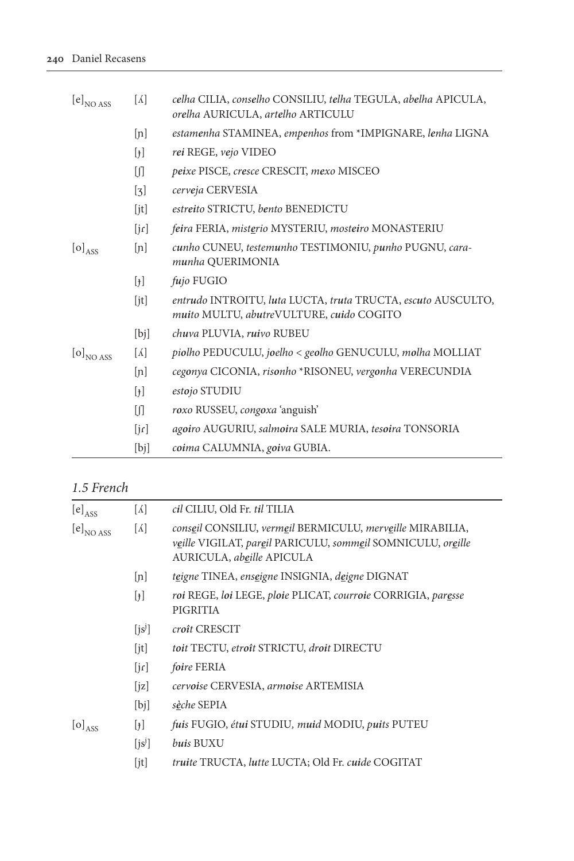| $[e]_{NO \text{ ASS}}$                  | $[\Lambda]$               | celha CILIA, conselho CONSILIU, telha TEGULA, abelha APICULA,<br>orelha AURICULA, artelho ARTICULU       |
|-----------------------------------------|---------------------------|----------------------------------------------------------------------------------------------------------|
|                                         | [n]                       | estamenha STAMINEA, empenhos from *IMPIGNARE, lenha LIGNA                                                |
|                                         | $[+]$                     | rei REGE, vejo VIDEO                                                                                     |
|                                         | m                         | peixe PISCE, cresce CRESCIT, mexo MISCEO                                                                 |
|                                         | $\left[\mathbf{3}\right]$ | cerveja CERVESIA                                                                                         |
|                                         | [jt]                      | estreito STRICTU, bento BENEDICTU                                                                        |
|                                         | $[$ jr]                   | feira FERIA, misterio MYSTERIU, mosteiro MONASTERIU                                                      |
| $[o]$ <sub>ASS</sub>                    | [n]                       | cunho CUNEU, testemunho TESTIMONIU, punho PUGNU, cara-<br>munha QUERIMONIA                               |
|                                         | $[+]$                     | <i>fujo</i> FUGIO                                                                                        |
|                                         | $[$ jt]                   | entrudo INTROITU, luta LUCTA, truta TRUCTA, escuto AUSCULTO,<br>muito MULTU, abutreVULTURE, cuido COGITO |
|                                         | [bj]                      | chuva PLUVIA, ruivo RUBEU                                                                                |
| $\left[\text{o}\right]_{\text{NO ASS}}$ | $[\Lambda]$               | piolho PEDUCULU, joelho < geolho GENUCULU, molha MOLLIAT                                                 |
|                                         | [n]                       | cegonya CICONIA, risonho *RISONEU, vergonha VERECUNDIA                                                   |
|                                         | $[+]$                     | estojo STUDIU                                                                                            |
|                                         | m                         | roxo RUSSEU, congoxa 'anguish'                                                                           |
|                                         | [if]                      | agoiro AUGURIU, salmoira SALE MURIA, tesoira TONSORIA                                                    |
|                                         | [bj]                      | coima CALUMNIA, goiva GUBIA.                                                                             |

| 1.5 French |  |
|------------|--|
|------------|--|

| $[e]$ <sub>ASS</sub>   | $[ \Lambda ]$           | <i>cil</i> CILIU, Old Fr. <i>til</i> TILIA                                                                                                            |
|------------------------|-------------------------|-------------------------------------------------------------------------------------------------------------------------------------------------------|
| $[e]_{NO \text{ ASS}}$ | $[\Lambda]$             | conseil CONSILIU, vermeil BERMICULU, merveille MIRABILIA,<br>veille VIGILAT, pareil PARICULU, sommeil SOMNICULU, oreille<br>AURICULA, abeille APICULA |
|                        | [n]                     | teigne TINEA, enseigne INSIGNIA, deigne DIGNAT                                                                                                        |
|                        | $[+]$                   | roi REGE, loi LEGE, ploie PLICAT, courroie CORRIGIA, paresse<br><b>PIGRITIA</b>                                                                       |
|                        | $[js^j]$                | croît CRESCIT                                                                                                                                         |
|                        | $[{\rm it}]$            | toit TECTU, etroît STRICTU, droit DIRECTU                                                                                                             |
|                        | $[j \rceil]$            | <i>foire</i> FERIA                                                                                                                                    |
|                        | [iz]                    | cervoise CERVESIA, armoise ARTEMISIA                                                                                                                  |
|                        | [b]                     | sèche SEPIA                                                                                                                                           |
| $[o]$ <sub>ASS</sub>   | $[+]$                   | fuis FUGIO, étui STUDIU, muid MODIU, puits PUTEU                                                                                                      |
|                        | $[$ is <sup>j</sup> $]$ | <i>buis</i> BUXU                                                                                                                                      |
|                        | $[$ jt]                 | <i>truite</i> TRUCTA, lutte LUCTA; Old Fr. cuide COGITAT                                                                                              |
|                        |                         |                                                                                                                                                       |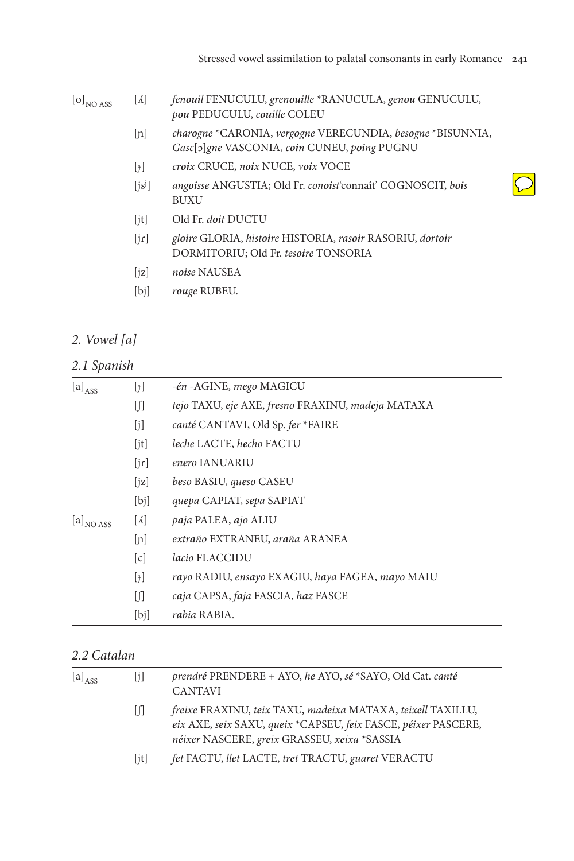| $\left[\text{o}\right]_{\text{NO ASS}}$ | $[\Lambda]$             | fenouil FENUCULU, grenouille *RANUCULA, genou GENUCULU,<br>pou PEDUCULU, couille COLEU                     |  |
|-----------------------------------------|-------------------------|------------------------------------------------------------------------------------------------------------|--|
|                                         | [n]                     | charogne *CARONIA, vergogne VERECUNDIA, besogne *BISUNNIA,<br>Gasc[2]gne VASCONIA, coin CUNEU, poing PUGNU |  |
|                                         | $[+]$                   | croix CRUCE, noix NUCE, voix VOCE                                                                          |  |
|                                         | $[$ is <sup>j</sup> $]$ | angoisse ANGUSTIA; Old Fr. conoist'connaît' COGNOSCIT, bois<br><b>BUXU</b>                                 |  |
|                                         | [it]                    | Old Fr. doit DUCTU                                                                                         |  |
|                                         | [if]                    | gloire GLORIA, histoire HISTORIA, rasoir RASORIU, dortoir<br>DORMITORIU; Old Fr. tesoire TONSORIA          |  |
|                                         | [jz]                    | noise NAUSEA                                                                                               |  |
|                                         | [b]                     | rouge RUBEU.                                                                                               |  |

# *2. Vowel [a]*

# *2.1 Spanish*

| $[a]_{ASS}$                      | $[+]$                   | -én -AGINE, mego MAGICU                           |
|----------------------------------|-------------------------|---------------------------------------------------|
|                                  | M                       | tejo TAXU, eje AXE, fresno FRAXINU, madeja MATAXA |
|                                  | $[j]$                   | canté CANTAVI, Old Sp. fer *FAIRE                 |
|                                  | $[$ jt]                 | leche LACTE, hecho FACTU                          |
|                                  | $[j \rceil]$            | enero IANUARIU                                    |
|                                  | [iz]                    | beso BASIU, queso CASEU                           |
|                                  | [b]                     | quepa CAPIAT, sepa SAPIAT                         |
| $\left[a\right]_{\text{NO ASS}}$ | $\lceil \Lambda \rceil$ | paja PALEA, ajo ALIU                              |
|                                  | [n]                     | extraño EXTRANEU, araña ARANEA                    |
|                                  | [c]                     | lacio FLACCIDU                                    |
|                                  | $[+]$                   | rayo RADIU, ensayo EXAGIU, haya FAGEA, mayo MAIU  |
|                                  | [ſ]                     | caja CAPSA, faja FASCIA, haz FASCE                |
|                                  | [b]                     | rabia RABIA.                                      |

# *2.2 Catalan*

| $[a]_{ASS}$ | [i]  | prendré PRENDERE + AYO, he AYO, sé *SAYO, Old Cat. canté<br><b>CANTAVI</b>                                                                                                    |
|-------------|------|-------------------------------------------------------------------------------------------------------------------------------------------------------------------------------|
|             | Ш    | freixe FRAXINU, teix TAXU, madeixa MATAXA, teixell TAXILLU,<br>eix AXE, seix SAXU, queix *CAPSEU, feix FASCE, péixer PASCERE,<br>néixer NASCERE, greix GRASSEU, xeixa *SASSIA |
|             | [it] | fet FACTU, llet LACTE, tret TRACTU, guaret VERACTU                                                                                                                            |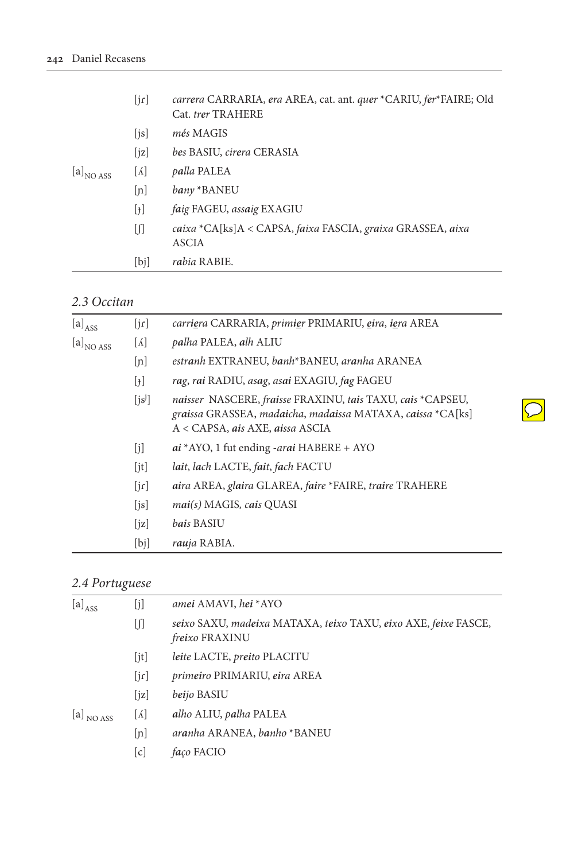|                                  | [if]        | carrera CARRARIA, era AREA, cat. ant. quer *CARIU, fer*FAIRE; Old<br>Cat. trer TRAHERE |
|----------------------------------|-------------|----------------------------------------------------------------------------------------|
|                                  | $[$ js]     | <i>més</i> MAGIS                                                                       |
|                                  | [jz]        | bes BASIU, cirera CERASIA                                                              |
| $\left[a\right]_{\text{NO ASS}}$ | $[\Lambda]$ | <i>palla</i> PALEA                                                                     |
|                                  | [n]         | bany *BANEU                                                                            |
|                                  | $[+]$       | faig FAGEU, assaig EXAGIU                                                              |
|                                  | m           | caixa *CA[ks]A < CAPSA, faixa FASCIA, graixa GRASSEA, aixa<br><b>ASCIA</b>             |
|                                  | [b]         | rabia RABIE.                                                                           |

## *2.3 Occitan*

| $[a]_{ASS}$                      | $[j \rceil]$            | carriera CARRARIA, primier PRIMARIU, eira, iera AREA                                                                                                        |
|----------------------------------|-------------------------|-------------------------------------------------------------------------------------------------------------------------------------------------------------|
| $\left[a\right]_{\text{NO ASS}}$ | $[\Lambda]$             | palha PALEA, alh ALIU                                                                                                                                       |
|                                  | [n]                     | estranh EXTRANEU, banh*BANEU, aranha ARANEA                                                                                                                 |
|                                  | $[+]$                   | rag, rai RADIU, asag, asai EXAGIU, fag FAGEU                                                                                                                |
|                                  | $[$ is <sup>j</sup> $]$ | naisser NASCERE, fraisse FRAXINU, tais TAXU, cais *CAPSEU,<br>graissa GRASSEA, madaicha, madaissa MATAXA, caissa *CA[ks]<br>A < CAPSA, ais AXE, aissa ASCIA |
|                                  | $[j]$                   | $ai$ *AYO, 1 fut ending -arai HABERE + AYO                                                                                                                  |
|                                  | [it]                    | lait, lach LACTE, fait, fach FACTU                                                                                                                          |
|                                  | [if]                    | aira AREA, glaira GLAREA, faire *FAIRE, traire TRAHERE                                                                                                      |
|                                  | $[$ js]                 | <i>mai(s)</i> MAGIS, cais QUASI                                                                                                                             |
|                                  | [jz]                    | <i>bais</i> BASIU                                                                                                                                           |
|                                  | [b]                     | rauja RABIA.                                                                                                                                                |

 $\overline{\bigcirc}$ 

# *2.4 Portuguese*

| $[a]_{ASS}$             | [j]               | amei AMAVI, hei *AYO                                                                    |
|-------------------------|-------------------|-----------------------------------------------------------------------------------------|
|                         | M                 | seixo SAXU, madeixa MATAXA, teixo TAXU, eixo AXE, feixe FASCE,<br><i>freixo</i> FRAXINU |
|                         | $[$ jt]           | <i>leite</i> LACTE, <i>preito</i> PLACITU                                               |
|                         | [if]              | <i>primeiro PRIMARIU, eira AREA</i>                                                     |
|                         | [jz]              | <i>beijo</i> BASIU                                                                      |
| $[a]$ <sub>NO ASS</sub> | $[\Lambda]$       | alho ALIU, palha PALEA                                                                  |
|                         | [n]               | aranha ARANEA, banho *BANEU                                                             |
|                         | $\lceil c \rceil$ | faco FACIO                                                                              |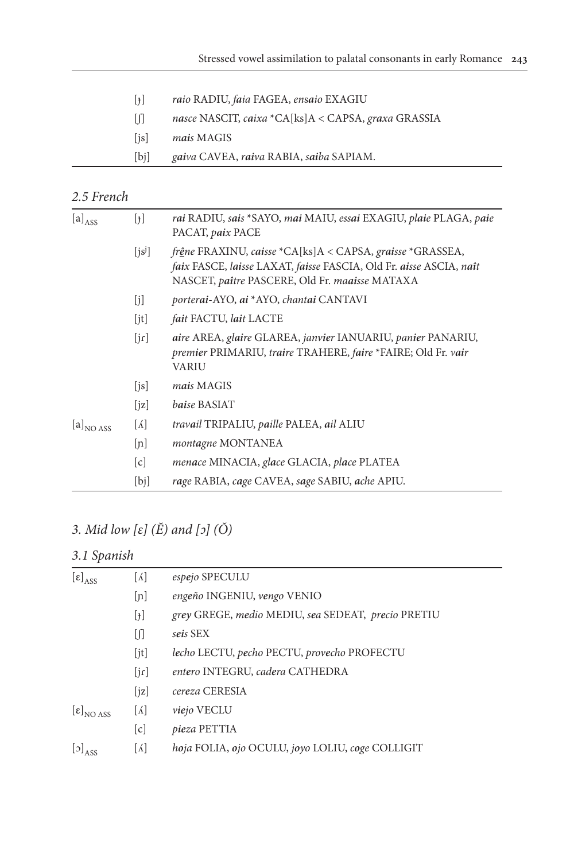- [ɟ] *raio* RADIU, *faia* FAGEA, *en*s*aio* EXAGIU
- [ʃ] *nasce* NASCIT, *caixa* \*CA[ks]A < CAPSA, *graxa* GRASSIA
- [js] *mais* MAGIS
- [bj] *gaiva* CAVEA, *raiva* RABIA, *saiba* SAPIAM.

### *2.5 French*

| $[a]_{ASS}$            | $[+]$                   | rai RADIU, sais *SAYO, mai MAIU, essai EXAGIU, plaie PLAGA, paie<br>PACAT, paix PACE                                                                                              |
|------------------------|-------------------------|-----------------------------------------------------------------------------------------------------------------------------------------------------------------------------------|
|                        | $[$ is <sup>j</sup> $]$ | frêne FRAXINU, caisse *CA[ks]A < CAPSA, graisse *GRASSEA,<br>faix FASCE, laisse LAXAT, faisse FASCIA, Old Fr. aisse ASCIA, naît<br>NASCET, paître PASCERE, Old Fr. maaisse MATAXA |
|                        | $[j]$                   | porterai-AYO, ai *AYO, chantai CANTAVI                                                                                                                                            |
|                        | [jt]                    | fait FACTU, lait LACTE                                                                                                                                                            |
|                        | [if]                    | aire AREA, glaire GLAREA, janvier IANUARIU, panier PANARIU,<br>premier PRIMARIU, traire TRAHERE, faire *FAIRE; Old Fr. vair<br>VARIU                                              |
|                        | $[$ is]                 | <i>mais</i> MAGIS                                                                                                                                                                 |
|                        | [iz]                    | <i>baise</i> BASIAT                                                                                                                                                               |
| $[a]_{NO \text{ ASS}}$ | $[\Lambda]$             | travail TRIPALIU, paille PALEA, ail ALIU                                                                                                                                          |
|                        | [n]                     | montagne MONTANEA                                                                                                                                                                 |
|                        | $\lceil c \rceil$       | menace MINACIA, glace GLACIA, place PLATEA                                                                                                                                        |
|                        | [b]                     | rage RABIA, cage CAVEA, sage SABIU, ache APIU.                                                                                                                                    |

# $3.$  *Mid low [* $\varepsilon$ ] ( $\check{E}$ ) *and [* $\iint$ ] ( $\check{O}$ )

# *3.1 Spanish*

| $\left[\epsilon\right]_{\rm ASS}$       | $[\Lambda]$       | espejo SPECULU                                     |
|-----------------------------------------|-------------------|----------------------------------------------------|
|                                         | [n]               | engeño INGENIU, vengo VENIO                        |
|                                         | $[+]$             | grey GREGE, medio MEDIU, sea SEDEAT, precio PRETIU |
|                                         | m                 | seis SEX                                           |
|                                         | [jt]              | lecho LECTU, pecho PECTU, provecho PROFECTU        |
|                                         | [if]              | entero INTEGRU, cadera CATHEDRA                    |
|                                         | [jz]              | cereza CERESIA                                     |
| $\left[\epsilon\right]_{\rm NO \, ASS}$ | $[\Lambda]$       | <i>viejo</i> VECLU                                 |
|                                         | $\lceil c \rceil$ | pieza PETTIA                                       |
| $[\mathfrak{I}]$ <sub>ASS</sub>         | $[\Lambda]$       | hoja FOLIA, ojo OCULU, joyo LOLIU, coge COLLIGIT   |
|                                         |                   |                                                    |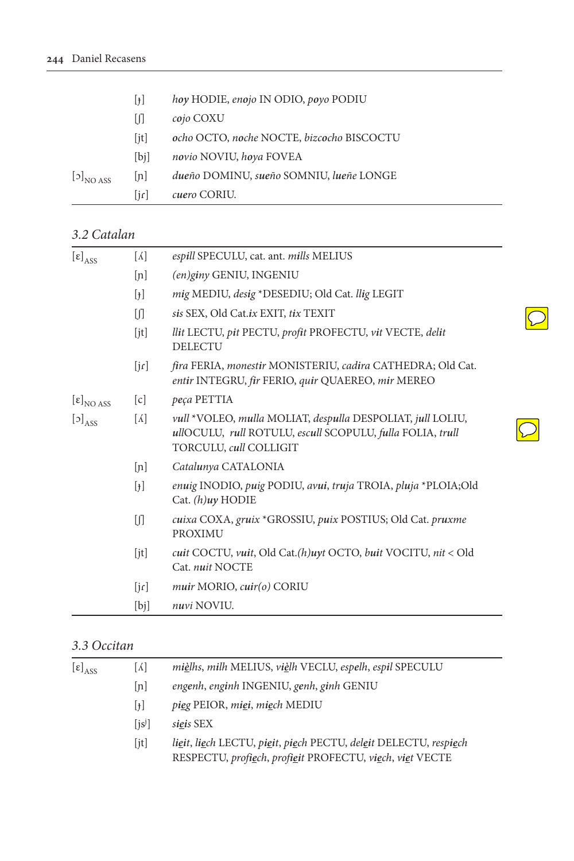|                                                                          | $ + $               | hoy HODIE, enojo IN ODIO, poyo PODIU      |
|--------------------------------------------------------------------------|---------------------|-------------------------------------------|
|                                                                          | Ш                   | cojo COXU                                 |
|                                                                          | $[$ it]             | ocho OCTO, noche NOCTE, bizcocho BISCOCTU |
|                                                                          | [b]                 | novio NOVIU, hoya FOVEA                   |
| $\left[\begin{smallmatrix} 5 \end{smallmatrix}\right]$ <sub>NO ASS</sub> | $\lfloor n \rfloor$ | dueño DOMINU, sueño SOMNIU, lueñe LONGE   |
|                                                                          | [i]                 | <i>cuero</i> CORIU.                       |

# *3.2 Catalan*

| $\left[\epsilon\right]_{\rm ASS}$        | $[\Lambda]$ | espill SPECULU, cat. ant. mills MELIUS                                                                                                            |  |
|------------------------------------------|-------------|---------------------------------------------------------------------------------------------------------------------------------------------------|--|
|                                          | [n]         | (en)giny GENIU, INGENIU                                                                                                                           |  |
|                                          | $[+]$       | mig MEDIU, desig *DESEDIU; Old Cat. llig LEGIT                                                                                                    |  |
|                                          | $[]$        | sis SEX, Old Cat.ix EXIT, tix TEXIT                                                                                                               |  |
|                                          | [jt]        | llit LECTU, pit PECTU, profit PROFECTU, vit VECTE, delit<br><b>DELECTU</b>                                                                        |  |
|                                          | [if]        | fira FERIA, monestir MONISTERIU, cadira CATHEDRA; Old Cat.<br>entir INTEGRU, fir FERIO, quir QUAEREO, mir MEREO                                   |  |
| $\left[\epsilon\right]_{\rm NO \, ASS}$  | [c]         | peça PETTIA                                                                                                                                       |  |
| $\left[\mathfrak{I}\right]_{\text{ASS}}$ | $[\Lambda]$ | vull *VOLEO, mulla MOLIAT, despulla DESPOLIAT, jull LOLIU,<br>ullOCULU, rull ROTULU, escull SCOPULU, fulla FOLIA, trull<br>TORCULU, cull COLLIGIT |  |
|                                          | [n]         | Catalunya CATALONIA                                                                                                                               |  |
|                                          | $[+]$       | enuig INODIO, puig PODIU, avui, truja TROIA, pluja *PLOIA;Old<br>Cat. (h)uy HODIE                                                                 |  |
|                                          | $[]$        | cuixa COXA, gruix *GROSSIU, puix POSTIUS; Old Cat. pruxme<br><b>PROXIMU</b>                                                                       |  |
|                                          | [jt]        | cuit COCTU, vuit, Old Cat.(h)uyt OCTO, buit VOCITU, nit < Old<br>Cat. nuit NOCTE                                                                  |  |
|                                          | $[j \, r]$  | muir MORIO, cuir(o) CORIU                                                                                                                         |  |
|                                          | [bj]        | nuvi NOVIU.                                                                                                                                       |  |

L

# *3.3 Occitan*

| $ \Lambda $           | mièlhs, milh MELIUS, vièlh VECLU, espelh, espil SPECULU                                                                      |
|-----------------------|------------------------------------------------------------------------------------------------------------------------------|
| $\lfloor n \rfloor$   | engenh, enginh INGENIU, genh, ginh GENIU                                                                                     |
| $ + $                 | pieg PEIOR, miei, miech MEDIU                                                                                                |
| $[$ is <sup>j</sup> ] | sieis SEX                                                                                                                    |
| [it]                  | ligit, ligch LECTU, pigit, pigch PECTU, delgit DELECTU, respigch<br>RESPECTU, profiech, profieit PROFECTU, viech, viet VECTE |
|                       |                                                                                                                              |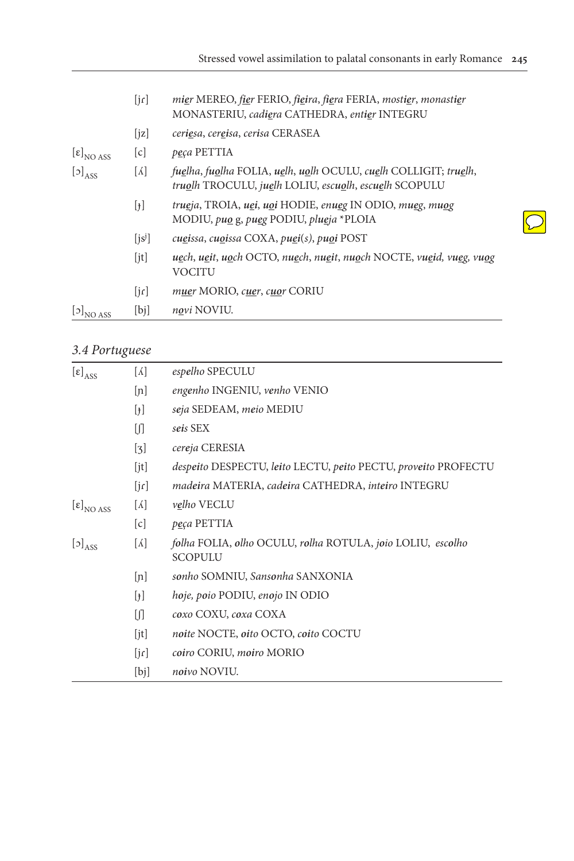$\boxed{\bigcirc}$ 

|                                                                          | $[j \in ]$              | mier MEREO, fier FERIO, fieira, fiera FERIA, mostier, monastier<br>MONASTERIU, cadiera CATHEDRA, entier INTEGRU                 |
|--------------------------------------------------------------------------|-------------------------|---------------------------------------------------------------------------------------------------------------------------------|
|                                                                          | [iz]                    | ceriesa, cereisa, cerisa CERASEA                                                                                                |
| $\left[\epsilon\right]_{\text{NO ASS}}$                                  | $\lceil c \rceil$       | peça PETTIA                                                                                                                     |
| $\left[\mathfrak{I}\right]_{\text{ASS}}$                                 | $[\Lambda]$             | <i>fuelha, fuolha FOLIA, uelh, uolh OCULU, cuelh COLLIGIT; truelh,</i><br>truolh TROCULU, juelh LOLIU, escuolh, escuelh SCOPULU |
|                                                                          | $[+]$                   | trueja, TROIA, uei, uoi HODIE, enueg IN ODIO, mueg, muog<br>MODIU, puo g, pueg PODIU, plueja *PLOIA                             |
|                                                                          | $[$ is <sup>j</sup> $]$ | cueissa, cuoissa COXA, puei(s), puoi POST                                                                                       |
|                                                                          | [it]                    | uech, ueit, uoch OCTO, nuech, nueit, nuoch NOCTE, vueid, vueg, vuog<br><b>VOCITU</b>                                            |
|                                                                          | [i]                     | muer MORIO, cuer, cuor CORIU                                                                                                    |
| $\left[\begin{smallmatrix} 5 \end{smallmatrix}\right]$ <sub>NO ASS</sub> | [b]                     | novi NOVIU.                                                                                                                     |

# *3.4 Portuguese*

| $\left[\epsilon\right]_{\rm ASS}$       | $[ \Lambda ]$             | espelho SPECULU                                                              |
|-----------------------------------------|---------------------------|------------------------------------------------------------------------------|
|                                         | [n]                       | engenho INGENIU, venho VENIO                                                 |
|                                         | $[+]$                     | seja SEDEAM, meio MEDIU                                                      |
|                                         | $[]$                      | seis SEX                                                                     |
|                                         | $\left[\mathbf{3}\right]$ | cereja CERESIA                                                               |
|                                         | $[{\rm it}]$              | despeito DESPECTU, leito LECTU, peito PECTU, proveito PROFECTU               |
|                                         | [if]                      | madeira MATERIA, cadeira CATHEDRA, inteiro INTEGRU                           |
| $\left[\epsilon\right]_{\text{NO ASS}}$ | $[\Lambda]$               | velho VECLU                                                                  |
|                                         | [c]                       | peça PETTIA                                                                  |
| $\left[\mathfrak{I}\right]_{\rm ASS}$   | $[\Lambda]$               | folha FOLIA, olho OCULU, rolha ROTULA, joio LOLIU, escolho<br><b>SCOPULU</b> |
|                                         | [n]                       | sonho SOMNIU, Sansonha SANXONIA                                              |
|                                         | $[+]$                     | hoje, poio PODIU, enojo IN ODIO                                              |
|                                         | m                         | coxo COXU, coxa COXA                                                         |
|                                         | $[$ jt]                   | noite NOCTE, oito OCTO, coito COCTU                                          |
|                                         | $[j \in ]$                | coiro CORIU, moiro MORIO                                                     |
|                                         | [b]                       | noivo NOVIU.                                                                 |